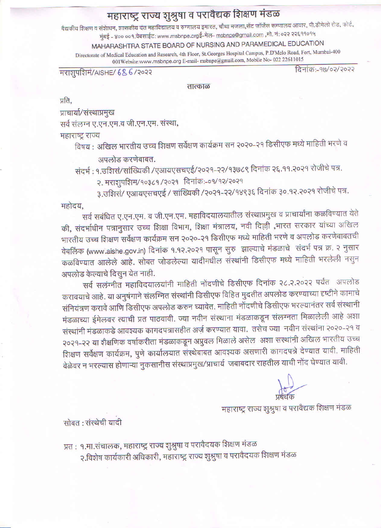## महाराष्ट्र राज्य शुश्रुषा व परावैद्यक शिक्षण मंडळ

वैद्यकीय शिक्षण व संशेाधन, शासकीय दंत महाविद्यालय व रुग्णालय इमारत, चौथा मजला,सेंट जॉर्जेस रूग्णालय आवार, पी.डीमेलो रोड, फोर्ट,

मुंबई – ४०० ००१.वेबसाईट: www.msbnpe.orgई-मेल- msbnpe@gmail.com ,मो. नं: ०२२ २२६११०१५

MAHARASHTRA STATE BOARD OF NURSING AND PARAMEDICAL EDUCATION

Directorate of Medical Education and Research, 4th Floor, St.Georges Hospital Campus, P.D'Melo Road, Fort, Mumbai-400 001Website:www.msbnpe.org E-mail-msbnpe@gmail.com, Mobile No- 022 22611015

मराशुपशिमं/AISHE/ 686/२०२२

दिनांक:-१७/०२/२०२२

तात्काळ

प्रति.

प्राचार्या/संस्थाप्रमुख सर्व संलग्न ए.एन.एम.व जी.एन.एम. संस्था,

महाराष्ट्र राज्य

विषय : अखिल भारतीय उच्च शिक्षण सर्वेक्षण कार्यक्रम सन २०२०-२१ डिसीएफ मध्ये माहिती भरणे व

अपलोड करणेबाबत.

संदर्भ : १.उशिसं/सांख्यिकी /एआयएसचएई/२०२१-२२/१३७८९ दिनांक २६.११.२०२१ रोजीचे पत्र.

२. मराशुपरिाम/१०३८१/२०२१ दिनांक:-०१/१२/२०२१

३.उशिसं/ एआयएसचएई / सांख्यिकी /२०२१-२२/१४९३६ दिनांक ३०.१२.२०२१ रोजीचे पत्र.

महोदय.

सर्व सबंधित ए.एन.एम. व जी.एन.एम. महाविदयालयातील संस्थाप्रमुख व प्राचार्यांना कळविण्यात येते की, संदर्भाधीन पत्रानुसार उच्च शिक्षा विभाग, शिक्षा मंत्रालय, नवी दिल्ली ,भारत सरकार यांच्या अखिल भारतीय उच्च शिक्षण सर्वेक्षण कार्यक्रम सन २०२०-२१ डिसीएफ मध्ये माहिती भरणे व अपलोड करणेबाबतची वेबलिंक (www.aishe.gov.in) दिनांक १.१२.२०२१ पासून सुरु ज्ञाल्याचे मंडळाचे संदर्भ पत्र क्र. २ नुसार कळविण्यात आलेले आहे. सोबत जोडलेल्या यादीमधील संस्थांनी डिसीएफ मध्ये माहिती भरलेली नसुन अपलोड केल्याचे दिसुन येत नाही.

सर्व सलंग्नीत महाविदयालयांनी माहिती नोंदणीचे डिसीएफ दिनांक २८.२.२०२२ पर्यंत अपलोड करावयाचे आहे. या अनुषंगाने संलग्नित संस्थांनी डिसीएफ विहित मुदतीत अपलोड करण्याच्या दृष्टीने कामाचे संनियंत्रण करावे आणि डिसीएफ अपलोड करुन घ्यावेत. माहिती नोंदणीचे डिसीएफ भरल्यानंतर सर्व संस्थानी मंडळाच्या ईमेलवर त्याची प्रत पाठवावी. ज्या नवीन संस्थाना मंडळाकडून संलग्नता मिळालेली आहे अशा संस्थांनी मंडळाकडे आवश्यक कागदपत्रासहीत अर्ज़ करण्यात यावा. तसेच ज्या नवीन संस्थांना २०२०-२१ व २०२१-२२ या शैक्षणिक वर्षाकरीता मंडळाकडून अप्रुवल मिळाले असेल) अशा सरथांनी अखिल भारतीय उच्च शिक्षण सर्वेक्षण कार्यक्रम, पुणे कार्यालयात संस्थेबाबत आवश्यक असणारी कागदपत्रे देण्यात यावी. माहिती वेळेवर न भरल्यास होणाऱ्या नुकसानीस संस्थाप्रमुख/प्राचार्य जबाबदार राहतील याची नोंद घेण्यात यावी.

महाराष्ट्र राज्य शुश्रुषा व परावैद्यक शिक्षण मंडळ

.<br>सोबत : संस्थेची यादी

प्रत : १.मा.संचालक, महाराष्ट्र राज्य शुश्रुषा व परावैदयक शिक्षण मंडळ २.विशेष कार्यकारी अधिकारी, महाराष्ट्र राज्य शुश्रुषा व परावेदयक शिक्षण मंडळ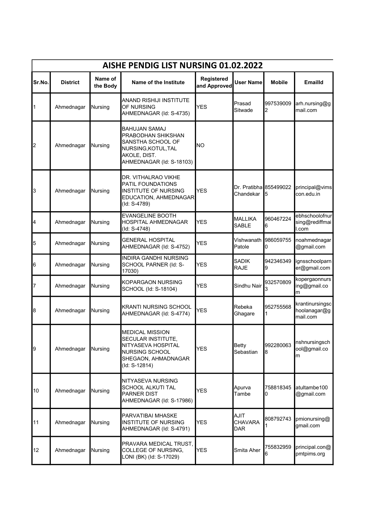|           | AISHE PENDIG LIST NURSING 01.02.2022 |                     |                                                                                                                                           |                            |                                     |                |                                             |  |  |  |  |
|-----------|--------------------------------------|---------------------|-------------------------------------------------------------------------------------------------------------------------------------------|----------------------------|-------------------------------------|----------------|---------------------------------------------|--|--|--|--|
| Sr.No.    | <b>District</b>                      | Name of<br>the Body | Name of the Institute                                                                                                                     | Registered<br>and Approved | <b>User Name</b>                    | <b>Mobile</b>  | <b>Emailld</b>                              |  |  |  |  |
| $\vert$ 1 | Ahmednagar                           | Nursing             | ANAND RISHIJI INSTITUTE<br>OF NURSING<br>AHMEDNAGAR (Id: S-4735)                                                                          | <b>YES</b>                 | Prasad<br>Sitwade                   | 997539009<br>2 | arh.nursing@g<br>mail.com                   |  |  |  |  |
| 2         | Ahmednagar                           | Nursing             | <b>BAHUJAN SAMAJ</b><br>PRABODHAN SHIKSHAN<br>SANSTHA SCHOOL OF<br>NURSING, KOTUL, TAL<br>AKOLE, DIST.<br>AHMEDNAGAR (Id: S-18103)        | <b>NO</b>                  |                                     |                |                                             |  |  |  |  |
| 3         | Ahmednagar                           | Nursing             | DR. VITHALRAO VIKHE<br>PATIL FOUNDATIONS<br><b>INSTITUTE OF NURSING</b><br>EDUCATION, AHMEDNAGAR<br>(Id: S-4789)                          | <b>YES</b>                 | Dr. Pratibha 855499022<br>Chandekar | 5              | principal@vims<br>con.edu.in                |  |  |  |  |
| I4        | Ahmednagar                           | Nursing             | <b>EVANGELINE BOOTH</b><br>HOSPITAL AHMEDNAGAR<br>(Id: S-4748)                                                                            | <b>YES</b>                 | <b>MALLIKA</b><br><b>SABLE</b>      | 960467224<br>6 | ebhschoolofnur<br>sing@rediffmai<br>I.com   |  |  |  |  |
| 5         | Ahmednagar                           | Nursing             | <b>GENERAL HOSPITAL</b><br>AHMEDNAGAR (Id: S-4752)                                                                                        | YES                        | Vishwanath<br>Patole                | 986059755<br>0 | noahmednagar<br>@gmail.com                  |  |  |  |  |
| 6         | Ahmednagar                           | Nursing             | <b>INDIRA GANDHI NURSING</b><br>SCHOOL PARNER (Id: S-<br>17030)                                                                           | YES                        | <b>SADIK</b><br><b>RAJE</b>         | 942346349<br>9 | ignsschoolparn<br>er@gmail.com              |  |  |  |  |
| 7         | Ahmednagar                           | Nursing             | KOPARGAON NURSING<br>SCHOOL (Id: S-18104)                                                                                                 | YES                        | Sindhu Nair                         | 932570809<br>3 | kopergaonnurs<br>ing@gmail.co<br>m          |  |  |  |  |
| 8         | Ahmednagar                           | Nursing             | <b>KRANTI NURSING SCHOOL</b><br>AHMEDNAGAR (Id: S-4774)                                                                                   | YES                        | Rebeka<br>Ghagare                   | 952755568<br>1 | krantinursingsc<br>hoolanagar@g<br>mail.com |  |  |  |  |
| 9         | Ahmednagar                           | Nursing             | <b>MEDICAL MISSION</b><br><b>SECULAR INSTITUTE</b><br>NITYASEVA HOSPITAL<br><b>NURSING SCHOOL</b><br>SHEGAON, AHMADNAGAR<br>(Id: S-12814) | <b>YES</b>                 | <b>Betty</b><br>Sebastian           | 992280063<br>8 | nshnursingsch<br>ool@gmail.co<br>m          |  |  |  |  |
| 10        | Ahmednagar                           | Nursing             | NITYASEVA NURSING<br><b>SCHOOL ALKUTI TAL</b><br><b>PARNER DIST</b><br>AHMEDNAGAR (Id: S-17986)                                           | YES                        | Apurva<br>Tambe                     | 758818345<br>0 | atultambe100<br>@gmail.com                  |  |  |  |  |
| 11        | Ahmednagar                           | Nursing             | PARVATIBAI MHASKE<br><b>INSTITUTE OF NURSING</b><br>AHMEDNAGAR (Id: S-4791)                                                               | <b>YES</b>                 | <b>AJIT</b><br>CHAVARA<br>DAR       | 808792743      | pmionursing@<br>gmail.com                   |  |  |  |  |
| 12        | Ahmednagar                           | Nursing             | PRAVARA MEDICAL TRUST,<br>COLLEGE OF NURSING,<br>LONI (BK) (Id: S-17029)                                                                  | <b>YES</b>                 | Smita Aher                          | 755832959<br>6 | principal.con@<br>pmtpims.org               |  |  |  |  |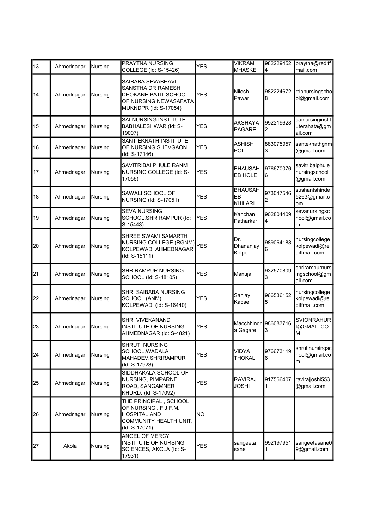| 13 | Ahmednagar | Nursing | PRAYTNA NURSING<br>COLLEGE (Id: S-15426)                                                                         | <b>YES</b> | <b>VIKRAM</b><br><b>MHASKE</b>         | 982229452<br>4  | praytna@rediff<br>mail.com                     |
|----|------------|---------|------------------------------------------------------------------------------------------------------------------|------------|----------------------------------------|-----------------|------------------------------------------------|
| 14 | Ahmednagar | Nursing | SAIBABA SEVABHAVI<br>SANSTHA DR RAMESH<br>DHOKANE PATIL SCHOOL<br>OF NURSING NEWASAFATA<br>MUKNDPR (Id: S-17054) | <b>YES</b> | Nilesh<br>Pawar                        | 982224672<br>l8 | rdpnursingscho<br>ol@gmail.com                 |
| 15 | Ahmednagar | Nursing | SAI NURSING INSTITUTE<br>BABHALESHWAR (Id: S-<br>19007)                                                          | <b>YES</b> | <b>AKSHAYA</b><br><b>PAGARE</b>        | 992219628<br>2  | sainursinginstit<br>uterahata@gm<br>ail.com    |
| 16 | Ahmednagar | Nursing | <b>SANT EKNATH INSTITUTE</b><br>OF NURSING SHEVGAON<br>(Id: S-17146)                                             | <b>YES</b> | <b>ASHISH</b><br><b>POL</b>            | 883075957<br>3  | santeknathgnm<br>@gmail.com                    |
| 17 | Ahmednagar | Nursing | SAVITRIBAI PHULE RANM<br>NURSING COLLEGE (Id: S-<br>17056)                                                       | <b>YES</b> | <b>BHAUSAH</b><br>EB HOLE              | 976670076<br>6  | savitribaiphule<br>nursingschool<br>@gmail.com |
| 18 | Ahmednagar | Nursing | SAWALI SCHOOL OF<br>NURSING (Id: S-17051)                                                                        | <b>YES</b> | <b>BHAUSAH</b><br>EB<br><b>KHILARI</b> | 973047546       | sushantshinde<br>5263@gmail.c<br>om            |
| 19 | Ahmednagar | Nursing | <b>SEVA NURSING</b><br>SCHOOL, SHRIRAMPUR (Id:<br>S-15443)                                                       | <b>YES</b> | Kanchan<br>Patharkar                   | 902804409<br>4  | sevanursingsc<br>hool@gmail.co<br>m            |
| 20 | Ahmednagar | Nursing | SHREE SWAMI SAMARTH<br>NURSING COLLEGE (RGNM)<br>KOLPEWADI AHMEDNAGAR<br>(Id: S-15111)                           | <b>YES</b> | Dr.<br>Dhananjay<br>Kolpe              | 989064188<br>6  | nursingcollege<br>kolpewadi@re<br>diffmail.com |
| 21 | Ahmednagar | Nursing | SHRIRAMPUR NURSING<br>SCHOOL (Id: S-18105)                                                                       | <b>YES</b> | Manuja                                 | 932570809<br>3  | shrirampurnurs<br>ingschool@gm<br>ail.com      |
| 22 | Ahmednagar | Nursing | <b>SHRI SAIBABA NURSING</b><br>SCHOOL (ANM)<br>KOLPEWADI (Id: S-16440)                                           | <b>YES</b> | Sanjay<br>Kapse                        | 966536152<br>5  | nursingcollege<br>kolpewadi@re<br>diffmail.com |
| 23 | Ahmednagar | Nursing | SHRI VIVEKANAND<br><b>INSTITUTE OF NURSING</b><br>AHMEDNAGAR (Id: S-4821)                                        | <b>YES</b> | Macchhindr<br>a Gagare                 | 986083716<br>3  | <b>SVIONRAHUR</b><br>I@GMAIL.CO<br>M           |
| 24 | Ahmednagar | Nursing | SHRUTI NURSING<br>SCHOOL, WADALA<br>MAHADEV, SHRIRAMPUR<br>(Id: S-17923)                                         | <b>YES</b> | VIDYA<br><b>THOKAL</b>                 | 976673119<br>6  | shrutinursingsc<br>hool@gmail.co<br>m          |
| 25 | Ahmednagar | Nursing | SIDDHAKALA SCHOOL OF<br>NURSING, PIMPARNE<br>ROAD, SANGAMNER<br>KHURD, (Id: S-17092)                             | <b>YES</b> | <b>RAVIRAJ</b><br>JOSHI                | 917566407       | ravirajjoshi553<br>@gmail.com                  |
| 26 | Ahmednagar | Nursing | THE PRINCIPAL, SCHOOL<br>OF NURSING, F.J.F.M.<br><b>HOSPITAL AND</b><br>COMMUNITY HEALTH UNIT,<br>(ld: S-17071)  | NO         |                                        |                 |                                                |
| 27 | Akola      | Nursing | ANGEL OF MERCY<br>INSTITUTE OF NURSING<br>SCIENCES, AKOLA (Id: S-<br>17931)                                      | <b>YES</b> | sangeeta<br>sane                       | 992197951       | sangeetasane0<br>9@gmail.com                   |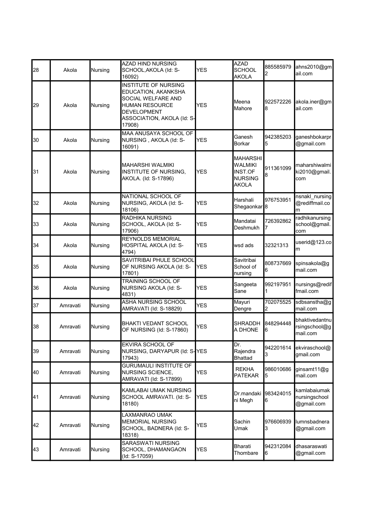| 28 | Akola    | Nursing        | <b>AZAD HIND NURSING</b><br>SCHOOL, AKOLA (Id: S-<br>16092)                                                                                                     | YES        | <b>AZAD</b><br><b>SCHOOL</b><br><b>AKOLA</b>                     | 885585979<br>2 | ahns2010@gm<br>ail.com                      |
|----|----------|----------------|-----------------------------------------------------------------------------------------------------------------------------------------------------------------|------------|------------------------------------------------------------------|----------------|---------------------------------------------|
| 29 | Akola    | Nursing        | <b>INSTITUTE OF NURSING</b><br>EDUCATION, AKANKSHA<br>SOCIAL WELFARE AND<br><b>HUMAN RESOURCE</b><br><b>DEVELOPMENT</b><br>ASSOCIATION, AKOLA (Id: S-<br>17908) | <b>YES</b> | Meena<br>Mahore                                                  | 922572226<br>8 | akola.iner@gm<br>ail.com                    |
| 30 | Akola    | Nursing        | MAA ANUSAYA SCHOOL OF<br>NURSING, AKOLA (Id: S-<br>16091)                                                                                                       | <b>YES</b> | Ganesh<br>Borkar                                                 | 942385203<br>5 | ganeshbokarpr<br>@gmail.com                 |
| 31 | Akola    | Nursing        | <b>MAHARSHI WALMIKI</b><br>INSTITUTE OF NURSING,<br>AKOLA. (Id: S-17896)                                                                                        | <b>YES</b> | <b>MAHARSHI</b><br>WALMIKI<br>INST.OF<br><b>NURSING</b><br>AKOLA | 911361099<br>8 | maharshiwalmi<br>ki2010@gmail.<br>com       |
| 32 | Akola    | Nursing        | NATIONAL SCHOOL OF<br>NURSING, AKOLA (Id: S-<br>18106)                                                                                                          | <b>YES</b> | Harshali<br>Shegaonkar <sup>8</sup>                              | 976753951      | nsnakl_nursing<br>@rediffmail.co<br>m       |
| 33 | Akola    | Nursing        | RADHIKA NURSING<br>SCHOOL, AKOLA (Id: S-<br>17906)                                                                                                              | <b>YES</b> | Mandatai<br>Deshmukh                                             | 726392862<br>7 | radhikanursing<br>school@gmail.<br>com      |
| 34 | Akola    | Nursing        | <b>REYNOLDS MEMORIAL</b><br>HOSPITAL AKOLA (Id: S-<br>4794)                                                                                                     | <b>YES</b> | wsd ads                                                          | 32321313       | userid@123.co<br>lm.                        |
| 35 | Akola    | Nursing        | SAVITRIBAI PHULE SCHOOL<br>OF NURSING AKOLA (Id: S-<br>17801)                                                                                                   | <b>YES</b> | Savitribai<br>School of<br>nursing                               | 808737669<br>6 | spinsakola@g<br>mail.com                    |
| 36 | Akola    | Nursing        | TRAINING SCHOOL OF<br>NURSING AKOLA (Id: S-<br>4831)                                                                                                            | YES        | Sangeeta<br>Sane                                                 | 992197951      | nursings@redif<br>fmail.com                 |
| 37 | Amravati | Nursing        | <b>ASHA NURSING SCHOOL</b><br>AMRAVATI (Id: S-18829)                                                                                                            | <b>YES</b> | Mayuri<br>Dengre                                                 | 702075525<br>2 | sdbsanstha@g<br>mail.com                    |
| 38 | Amravati | <b>Nursing</b> | <b>BHAKTI VEDANT SCHOOL</b><br>OF NURSING (Id: S-17860)                                                                                                         | <b>YES</b> | <b>SHRADDH</b><br>A DHONE                                        | 848294448<br>6 | bhaktivedantnu<br>rsingschool@g<br>mail.com |
| 39 | Amravati | Nursing        | EKVIRA SCHOOL OF<br>NURSING, DARYAPUR (Id: S-YES<br>17943)                                                                                                      |            | Dr.<br>Rajendra<br>Bhattad                                       | 942201614<br>3 | ekviraschool@<br>gmail.com                  |
| 40 | Amravati | Nursing        | <b>GURUMAULI INSTITUTE OF</b><br><b>NURSING SCIENCE,</b><br>AMRAVATI (Id: S-17899)                                                                              | YES        | <b>REKHA</b><br><b>PATEKAR</b>                                   | 986010686<br>5 | ginsamt11@g<br>mail.com                     |
| 41 | Amravati | Nursing        | KAMLABAI UMAK NURSING<br>SCHOOL AMRAVATI. (Id: S-<br>18180)                                                                                                     | <b>YES</b> | Dr.mandaki<br>ni Megh                                            | 983424015<br>6 | kamlabaiumak<br>nursingschool<br>@gmail.com |
| 42 | Amravati | Nursing        | LAXMANRAO UMAK<br><b>MEMORIAL NURSING</b><br>SCHOOL, BADNERA (Id: S-<br>18318)                                                                                  | YES        | Sachin<br>Umak                                                   | 976606939<br>3 | lumnsbadnera<br>@gmail.com                  |
| 43 | Amravati | Nursing        | SARASWATI NURSING<br>SCHOOL, DHAMANGAON<br>(Id: S-17059)                                                                                                        | YES        | Bharati<br>Thombare                                              | 942312084<br>6 | dhasaraswati<br>@gmail.com                  |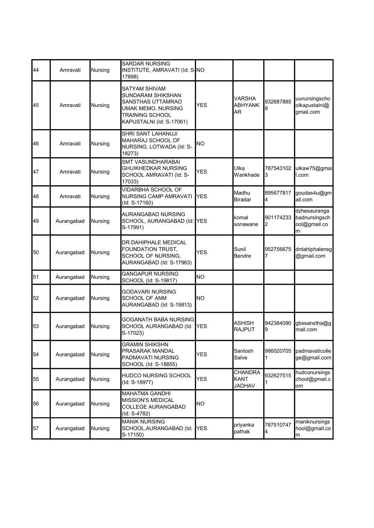| 44 | Amravati   | Nursing        | <b>SARDAR NURSING</b><br>INSTITUTE, AMRAVATI (Id: S-NO<br>17898)                                                                    |            |                                                |                |                                                    |
|----|------------|----------------|-------------------------------------------------------------------------------------------------------------------------------------|------------|------------------------------------------------|----------------|----------------------------------------------------|
| 45 | Amravati   | Nursing        | SATYAM SHIVAM<br>SUNDARAM SHIKSHAN<br>SANSTHAS UTTAMRAO<br>UMAK MEMO. NURSING<br><b>TRAINING SCHOOL</b><br>KAPUSTALNI (Id: S-17061) | <b>YES</b> | <b>VARSHA</b><br><b>ABHYANK</b><br><b>AR</b>   | 932687885      | uunursingscho<br>olkapustalni@<br>gmail.com        |
| 46 | Amravati   | Nursing        | SHRI SANT LAHANUJI<br>MAHARAJ SCHOOL OF<br>NURSING, LOTWADA (Id: S-<br>18273)                                                       | ΝO         |                                                |                |                                                    |
| 47 | Amravati   | <b>Nursing</b> | <b>SMT VASUNDHARABAI</b><br>GHUIKHEDKAR NURSING<br>SCHOOL AMRAVATI (Id: S-<br>17033)                                                | <b>YES</b> | Ulka<br>Wankhade                               | 787543102<br>3 | ulkaw75@gmai<br>l.com                              |
| 48 | Amravati   | Nursing        | <b>VIDARBHA SCHOOL OF</b><br>NURSING CAMP AMRAVATI<br>(Id: S-17160)                                                                 | YES        | Madhu<br><b>Biradar</b>                        | 895677817<br>4 | goudas4u@gm<br>ail.com                             |
| 49 | Aurangabad | Nursing        | AURANGABAD NURSING<br>SCHOOL, AURANGABAD (Id: YES<br>S-17991)                                                                       |            | komal<br>sonawane                              | 901174233<br>2 | dzhesauranga<br>badnursingsch<br>ool@gmail.co<br>m |
| 50 | Aurangabad | Nursing        | DR.DAHIPHALE MEDICAL<br>FOUNDATION TRUST,<br>SCHOOL OF NURSING,<br>AURANGABAD (Id: S-17983)                                         | YES        | Sunil<br>Bendre                                | 952756675      | drdahiphalensg<br>@gmail.com                       |
| 51 | Aurangabad | Nursing        | <b>GANGAPUR NURSING</b><br>SCHOOL (Id: S-19817)                                                                                     | lΝO        |                                                |                |                                                    |
| 52 | Aurangabad | <b>Nursing</b> | GODAVARI NURSING<br><b>SCHOOL OF ANM</b><br>AURANGABAD (Id: S-19813)                                                                | ΝO         |                                                |                |                                                    |
| 53 | Aurangabad | Nursing        | GOGANATH BABA NURSING<br>SCHOOL AURANGABAD (Id:<br>S-17023)                                                                         | <b>YES</b> | <b>ASHISH</b><br><b>RAJPUT</b>                 | 942384090<br>9 | gbssanstha@g<br>mail.com                           |
| 54 | Aurangabad | Nursing        | <b>GRAMIN SHIKSHN</b><br>PRASARAK MANDAL<br>PADMAVATI NURSING<br>SCHOOL (Id: S-18855)                                               | <b>YES</b> | Santosh<br>Salve                               | 986020705      | padmavaticolle<br>ge@gmail.com                     |
| 55 | Aurangabad | Nursing        | HUDCO NURSING SCHOOL<br>(Id: S-18977)                                                                                               | <b>YES</b> | <b>CHANDRA</b><br><b>KANT</b><br><b>JADHAV</b> | 932627515      | hudconursings<br>chool@gmail.c<br>om               |
| 56 | Aurangabad | Nursing        | <b>MAHATMA GANDHI</b><br><b>MISSION'S MEDICAL</b><br>COLLEGE AURANGABAD<br>(Id: S-4782)                                             | NO         |                                                |                |                                                    |
| 57 | Aurangabad | Nursing        | <b>MANIK NURSING</b><br>SCHOOL, AURANGABAD (Id:<br>S-17150)                                                                         | <b>YES</b> | priyanka<br>pathak                             | 787510747<br>4 | maniknursings<br>hool@gmail.co<br>m                |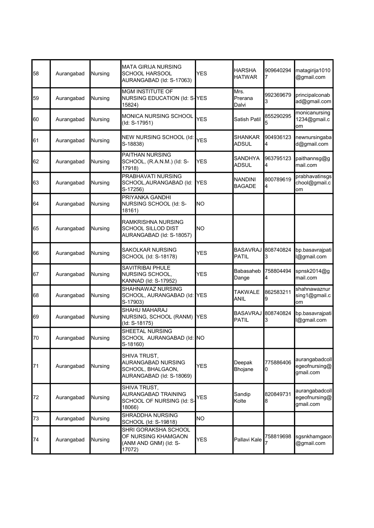| 58 | Aurangabad | Nursing | <b>MATA GIRIJA NURSING</b><br><b>SCHOOL HARSOOL</b><br>AURANGABAD (Id: S-17063)     | <b>YES</b> | <b>HARSHA</b><br><b>HATWAR</b>  | 909640294      | matagirija1010<br>@gmail.com                 |
|----|------------|---------|-------------------------------------------------------------------------------------|------------|---------------------------------|----------------|----------------------------------------------|
| 59 | Aurangabad | Nursing | <b>MGM INSTITUTE OF</b><br>NURSING EDUCATION (Id: S-YES<br>15824)                   |            | Mrs.<br>Prerana<br>Dalvi        | 992369679<br>3 | principalconab<br>ad@gmail.com               |
| 60 | Aurangabad | Nursing | MONICA NURSING SCHOOL<br>(Id: S-17951)                                              | <b>YES</b> | Satish Patil                    | 855290295<br>5 | monicanursing<br>1234@gmail.c<br>om          |
| 61 | Aurangabad | Nursing | NEW NURSING SCHOOL (Id:<br>S-18838)                                                 | <b>YES</b> | <b>SHANKAR</b><br><b>ADSUL</b>  | 904936123<br>4 | newnursingaba<br>d@gmail.com                 |
| 62 | Aurangabad | Nursing | PAITHAN NURSING<br>SCHOOL, (R.A.N.M.) (Id: S-<br>17918)                             | YES        | <b>SANDHYA</b><br><b>ADSUL</b>  | 963795123<br>4 | paithannsg@g<br>mail.com                     |
| 63 | Aurangabad | Nursing | PRABHAVATI NURSING<br>SCHOOL, AURANGABAD (Id:<br>S-17256)                           | YES        | <b>NANDINI</b><br><b>BAGADE</b> | 800789619<br>4 | prabhavatinsgs<br>chool@gmail.c<br>om        |
| 64 | Aurangabad | Nursing | PRIYANKA GANDHI<br>NURSING SCHOOL (Id: S-<br>18161)                                 | <b>NO</b>  |                                 |                |                                              |
| 65 | Aurangabad | Nursing | RAMKRISHNA NURSING<br><b>SCHOOL SILLOD DIST</b><br>AURANGABAD (Id: S-18057)         | <b>NO</b>  |                                 |                |                                              |
| 66 | Aurangabad | Nursing | SAKOLKAR NURSING<br>SCHOOL (Id: S-18178)                                            | <b>YES</b> | <b>BASAVRAJ</b><br>PATIL        | 808740824<br>3 | bp.basavrajpati<br>l@gmail.com               |
| 67 | Aurangabad | Nursing | SAVITRIBAI PHULE<br>NURSING SCHOOL,<br>KANNAD (Id: S-17952)                         | YES        | <b>Babasaheb</b><br>Dange       | 758804494<br>4 | spnsk2014@g<br>mail.com                      |
| 68 | Aurangabad | Nursing | SHAHNAWAZ NURSING<br>SCHOOL, AURANGABAD (Id:<br>S-17903)                            | <b>YES</b> | <b>TAKWALE</b><br><b>ANIL</b>   | 862583211<br>9 | shahnawaznur<br>sing1@gmail.c<br>om          |
| 69 | Aurangabad | Nursing | SHAHU MAHARAJ<br>NURSING, SCHOOL (RANM)<br>(Id: S-18175)                            | <b>YES</b> | <b>BASAVRAJ</b><br><b>PATIL</b> | 808740824<br>3 | bp.basavrajpati<br>l@gmail.com               |
| 70 | Aurangabad | Nursing | SHEETAL NURSING<br>SCHOOL AURANGABAD (Id: NO<br>S-18160)                            |            |                                 |                |                                              |
| 71 | Aurangabad | Nursing | SHIVA TRUST,<br>AURANGABAD NURSING<br>SCHOOL, BHALGAON,<br>AURANGABAD (Id: S-18069) | YES        | Deepak<br>Bhojane               | 775886406<br>0 | aurangabadcoll<br>egeofnursing@<br>gmail.com |
| 72 | Aurangabad | Nursing | SHIVA TRUST,<br>AURANGABAD TRAINING<br>SCHOOL OF NURSING (Id: S-<br>18066)          | YES        | Sandip<br>Kolte                 | 820849731<br>8 | aurangabadcoll<br>egeofnursing@<br>gmail.com |
| 73 | Aurangabad | Nursing | <b>SHRADDHA NURSING</b><br>SCHOOL (Id: S-19818)                                     | NO.        |                                 |                |                                              |
| 74 | Aurangabad | Nursing | SHRI GORAKSHA SCHOOL<br>OF NURSING KHAMGAON<br>(ANM AND GNM) (Id: S-<br>17072)      | YES        | Pallavi Kale                    | 758819698      | sgsnkhamgaon <br>@gmail.com                  |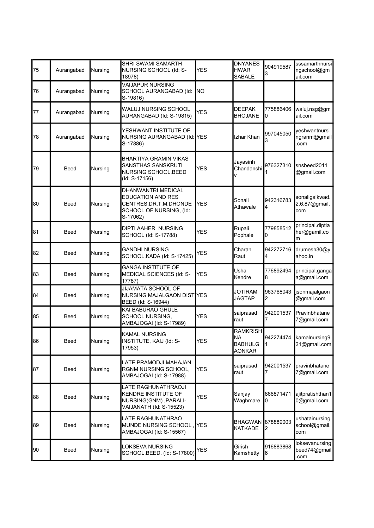| 75 | Aurangabad  | Nursing | SHRI SWAMI SAMARTH<br>NURSING SCHOOL (Id: S-<br>18978)                                                                 | YES        | <b>DNYANES</b><br><b>HWAR</b><br>SABALE                         | 904919587<br>3 | sssamarthnursi<br>ngschool@gm<br>ail.com |
|----|-------------|---------|------------------------------------------------------------------------------------------------------------------------|------------|-----------------------------------------------------------------|----------------|------------------------------------------|
| 76 | Aurangabad  | Nursing | <b>VAIJAPUR NURSING</b><br>SCHOOL AURANGABAD (Id:<br>S-19816)                                                          | INO        |                                                                 |                |                                          |
| 77 | Aurangabad  | Nursing | WALUJ NURSING SCHOOL<br>AURANGABAD (Id: S-19815)                                                                       | <b>YES</b> | <b>DEEPAK</b><br><b>BHOJANE</b>                                 | 775886406<br>0 | waluj.nsg@gm<br>ail.com                  |
| 78 | Aurangabad  | Nursing | YESHWANT INSTITUTE OF<br>NURSING AURANGABAD (Id: YES<br>S-17886)                                                       |            | Izhar Khan                                                      | 997045050      | yeshwantnursi<br>ngranm@gmail<br>.com    |
| 79 | <b>Beed</b> | Nursing | <b>BHARTIYA GRAMIN VIKAS</b><br>SANSTHAS SANSKRUTI<br>NURSING SCHOOL, BEED<br>(Id: S-17156)                            | <b>YES</b> | Jayasinh<br>Chandanshi<br>v                                     | 976327310      | snsbeed2011<br>@gmail.com                |
| 80 | Beed        | Nursing | <b>DHANWANTRI MEDICAL</b><br><b>EDUCATION AND RES</b><br>CENTRES, DR.T.M.DHONDE<br>SCHOOL OF NURSING, (Id:<br>S-17062) | <b>YES</b> | Sonali<br>Athawale                                              | 942316783<br>4 | sonaligaikwad.<br>2.6.87@gmail.<br>com   |
| 81 | Beed        | Nursing | DIPTI AAHER NURSING<br>SCHOOL (Id: S-17788)                                                                            | <b>YES</b> | Rupali<br>Pophale                                               | 779858512<br>0 | principal.diptia<br>her@gamil.co<br>m    |
| 82 | Beed        | Nursing | <b>GANDHI NURSING</b><br>SCHOOL, KADA (Id: S-17425)                                                                    | YES        | Charan<br>Raut                                                  | 942272716<br>4 | drumesh30@y<br>ahoo.in                   |
| 83 | Beed        | Nursing | <b>GANGA INSTITUTE OF</b><br>MEDICAL SCIENCES (Id: S-<br>17787)                                                        | YES        | Usha<br>Kendre                                                  | 776892494<br>8 | principal.ganga<br>a@gmail.com           |
| 84 | Beed        | Nursing | <b>JIJAMATA SCHOOL OF</b><br>NURSING MAJALGAON DIST YES<br>BEED (Id: S-16944)                                          |            | <b>JOTIRAM</b><br><b>JAGTAP</b>                                 | 963768043<br>2 | jsonmajalgaon<br>@gmail.com              |
| 85 | Beed        | Nursing | KAI BABURAO GHULE<br><b>SCHOOL NURSING.</b><br>AMBAJOGAI (Id: S-17989)                                                 | YES        | saiprasad<br>raut                                               | 942001537      | Pravinbhatane<br>7@gmail.com             |
| 86 | Beed        | Nursing | KAMAL NURSING<br>INSTITUTE, KAIJ (Id: S-<br>17953)                                                                     | YES        | <b>RAMKRISH</b><br><b>NA</b><br><b>BABHULG</b><br><b>AONKAR</b> | $\vert$ 1      | 942274474 kamalnursing9<br>21@gmail.com  |
| 87 | Beed        | Nursing | LATE PRAMODJI MAHAJAN<br>RGNM NURSING SCHOOL,<br>AMBAJOGAI (Id: S-17988)                                               | <b>YES</b> | saiprasad<br>raut                                               | 942001537      | pravinbhatane<br>7@gmail.com             |
| 88 | <b>Beed</b> | Nursing | LATE RAGHUNATHRAOJI<br>KENDRE INSTITUTE OF<br>NURSING(GNM), PARALI-<br>VAIJANATH (Id: S-15523)                         | YES        | Sanjay<br>Waghmare                                              | 866871471<br>0 | ajitpratishthan1<br>0@gmail.com          |
| 89 | Beed        | Nursing | LATE RAGHUNATHRAO<br>MUNDE NURSING SCHOOL,<br>AMBAJOGAI (Id: S-15567)                                                  | <b>YES</b> | BHAGWAN<br>KATKADE                                              | 878889003<br>2 | ushatainursing<br>school@gmail.<br>com   |
| 90 | Beed        | Nursing | LOKSEVA NURSING<br>SCHOOL, BEED. (Id: S-17800)                                                                         | YES        | Girish<br>Kamshetty                                             | 916883868<br>6 | loksevanursing<br>beed74@gmail<br>.com   |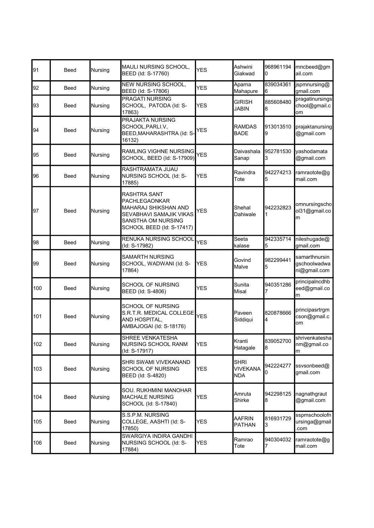| 91  | Beed        | Nursing | <b>MAULI NURSING SCHOOL,</b><br>BEED (Id: S-17760)                                                                                                | <b>YES</b> | Ashwini<br>Giakwad             | 968961194<br>0 | mncbeed@gm<br>ail.com                         |
|-----|-------------|---------|---------------------------------------------------------------------------------------------------------------------------------------------------|------------|--------------------------------|----------------|-----------------------------------------------|
| 92  | Beed        | Nursing | NEW NURSING SCHOOL,<br>BEED (Id: S-17806)                                                                                                         | YES        | Aparna<br>Mahapure             | 839034361<br>6 | jspmnursing@<br>gmail.com                     |
| 93  | Beed        | Nursing | <b>PRAGATI NURSING</b><br>SCHOOL, PATODA (Id: S-<br>17863)                                                                                        | YES        | <b>GIRISH</b><br><b>JABIN</b>  | 885608480<br>8 | pragatinursings<br>chool@gmail.c<br>om        |
| 94  | Beed        | Nursing | PRAJAKTA NURSING<br>SCHOOL, PARLI.V,<br>BEED, MAHARASHTRA (Id: S-<br>16132)                                                                       | YES        | <b>RAMDAS</b><br><b>BADE</b>   | 913013510<br>9 | prajaktanursing<br>@gmail.com                 |
| 95  | Beed        | Nursing | RAMLING VIGHNE NURSING<br>SCHOOL, BEED (Id: S-17909)                                                                                              | <b>YES</b> | Daivashala<br>Sanap            | 952781530<br>3 | yashodamata<br>@gmail.com                     |
| 96  | Beed        | Nursing | RASHTRAMATA JIJAU<br>NURSING SCHOOL (Id: S-<br>17885)                                                                                             | YES        | Ravindra<br>Tote               | 942274213<br>5 | ramraotote@g<br>mail.com                      |
| 97  | Beed        | Nursing | <b>RASHTRA SANT</b><br>PACHLEGAONKAR<br><b>MAHARAJ SHIKSHAN AND</b><br>SEVABHAVI SAMAJIK VIKAS<br>SANSTHA OM NURSING<br>SCHOOL BEED (Id: S-17417) | <b>YES</b> | Shehal<br>Dahiwale             | 942232823      | omnursingscho<br>ol31@gmail.co<br>m           |
| 98  | Beed        | Nursing | RENUKA NURSING SCHOOL<br>(Id: S-17982)                                                                                                            | <b>YES</b> | Seeta<br>kalase                | 942335714<br>5 | nileshugade@<br>gmail.com                     |
| 99  | Beed        | Nursing | <b>SAMARTH NURSING</b><br>SCHOOL, WADWANI (Id: S-<br>17864)                                                                                       | YES        | Govind<br>Malve                | 982299441<br>5 | samarthnursin<br>gschoolwadwa<br>ni@gmail.com |
| 100 | Beed        | Nursing | SCHOOL OF NURSING<br>BEED (Id: S-4806)                                                                                                            | YES        | Sunita<br>Misal                | 940351286      | principalncdhb<br>eed@gmail.co<br>m           |
| 101 | Beed        | Nursing | SCHOOL OF NURSING<br>S.R.T.R. MEDICAL COLLEGE<br>AND HOSPITAL,<br>AMBAJOGAI (Id: S-18176)                                                         | <b>YES</b> | Paveen<br>Siddiqui             | 820878666<br>4 | principasrtrgm<br>cson@gmail.c<br>om          |
| 102 | <b>Beed</b> | Nursing | SHREE VENKATESHA<br><b>NURSING SCHOOL RANM</b><br>(Id: S-17917)                                                                                   | <b>YES</b> | Krantı<br>Hatagale             | 839052700<br>8 | shrivenkatesha<br>nm@gmail.co<br>m            |
| 103 | Beed        | Nursing | SHRI SWAMI VIVEKANAND<br>SCHOOL OF NURSING<br>BEED (Id: S-4820)                                                                                   | YES        | SHRI<br><b>VIVEKANA</b><br>NDA | 942224277<br>0 | ssvsonbeed@<br>gmail.com                      |
| 104 | <b>Beed</b> | Nursing | SOU. RUKHMINI MANOHAR<br><b>MACHALE NURSING</b><br>SCHOOL (Id: S-17840)                                                                           | YES        | Amruta<br>Shirke               | 942298125<br>8 | nagnathgraut<br>@gmail.com                    |
| 105 | Beed        | Nursing | S.S.P.M. NURSING<br>COLLEGE, AASHTI (Id: S-<br>17850)                                                                                             | YES        | <b>AAFRIN</b><br><b>PATHAN</b> | 816931729<br>3 | sspmschoolofn<br>ursinga@gmail<br>.com        |
| 106 | Beed        | Nursing | SWARGIYA INDIRA GANDHI<br>NURSING SCHOOL (Id: S-<br>17884)                                                                                        | <b>YES</b> | Ramrao<br>Tote                 | 940304032<br>7 | ramraotote@g<br>mail.com                      |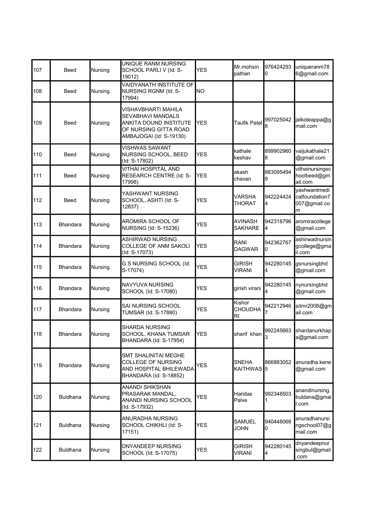| 107 | <b>Beed</b>     | Nursing        | UNIQUE RANM NURSING<br>SCHOOL PARLI V (Id: S-<br>19012)                                                                | YES        | Mr.mohsin<br>pathan                     | 976424293<br>0  | uniqueranm78<br>6@gmail.com                         |
|-----|-----------------|----------------|------------------------------------------------------------------------------------------------------------------------|------------|-----------------------------------------|-----------------|-----------------------------------------------------|
| 108 | Beed            | Nursing        | VAIDYANATH INSTITUTE OF<br>NURSING RGNM (Id: S-<br>17994)                                                              | ΝO         |                                         |                 |                                                     |
| 109 | <b>Beed</b>     | Nursing        | VISHAVBHARTI MAHILA<br>SEVABHAVI MANDALS<br>ANKITA DOUND INSTITUTE<br>OF NURSING GITTA ROAD<br>AMBAJOGAI (Id: S-19130) | <b>YES</b> | <b>Taufik Patel</b>                     | 997025042<br>8  | jalkoteappa@g<br>mail.com                           |
| 110 | Beed            | Nursing        | <b>VISHWAS SAWANT</b><br>NURSING SCHOOL, BEED<br>(Id: S-17802)                                                         | YES        | kathale<br>keshav                       | 899902960<br>8  | vaijukathale21<br>@gmail.com                        |
| 111 | Beed            | Nursing        | VITHAI HOSPITAL AND<br>RESEARCH CENTRE (Id: S-<br>17998)                                                               | <b>YES</b> | akash<br>chavan                         | 883095494<br>9  | vithainursingsc<br>hoolbeed@gm<br>ail.com           |
| 112 | Beed            | Nursing        | YASHWANT NURSING<br>SCHOOL, ASHTI (Id: S-<br>12837)                                                                    | <b>YES</b> | VARSHA<br>THORAT                        | 942224424<br>4  | yashwantmedi<br>calfoundation7<br>007@gmail.co<br>m |
| 113 | <b>Bhandara</b> | Nursing        | AROMIRA SCHOOL OF<br>NURSING (Id: S-15236)                                                                             | <b>YES</b> | AVINASH<br><b>SAKHARE</b>               | 942318796<br>4  | aromiracollege<br>@gmail.com                        |
| 114 | <b>Bhandara</b> | Nursing        | ASHIRWAD NURSING<br>COLLEGE OF ANM SAKOLI<br>(Id: S-17073)                                                             | <b>YES</b> | RANI<br><b>DAGWAR</b>                   | 942362767<br>0  | ashirwadnursin<br>gcollege@gma<br>il.com            |
| 115 | <b>Bhandara</b> | Nursing        | G S NURSING SCHOOL (Id:<br>S-17074)                                                                                    | <b>YES</b> | GIRISH<br>VIRANI                        | 942280145<br>4  | gsnursingbhd<br>@gmail.com                          |
| 116 | <b>Bhandara</b> | Nursing        | NAVYUVA NURSING<br>SCHOOL (Id: S-17080)                                                                                | <b>YES</b> | girish virani                           | 942280145       | nynursingbhd<br>@gmail.com                          |
| 117 | <b>Bhandara</b> | <b>Nursing</b> | SAI NURSING SCHOOL<br>TUMSAR (Id: S-17880)                                                                             | YES        | Kishor<br><b>CHOUDHA</b><br>RI          | 942212946       | sitmr2008@gm<br>ail.com                             |
| 118 | <b>Bhandara</b> | Nursing        | <b>SHARDA NURSING</b><br>SCHOOL, KHANA TUMSAR<br>BHANDARA (Id: S-17954)                                                | <b>YES</b> | sharif khan                             | 992245663<br>ß. | shardanurkhap<br>a@gmail.com                        |
| 119 | <b>Bhandara</b> | Nursing        | <b>SMT SHALINITAI MEGHE</b><br>COLLEGE OF NURSING<br>AND HOSPITAL BHILEWADA<br>BHANDARA (Id: S-18852)                  | <b>YES</b> | <b>SNEHA</b><br>KAITHWAS <sup>1</sup> 5 | 866883052       | anuradha.kene<br>@gmail.com                         |
| 120 | <b>Buldhana</b> | Nursing        | ANANDI SHIKSHAN<br>PRASARAK MANDAL,<br>ANANDI NURSING SCHOOL<br>(Id: S-17932)                                          | <b>YES</b> | Haridas<br>Palve                        | 992348503       | anandinursing.<br>buldana@gmai<br>l.com             |
| 121 | <b>Buldhana</b> | Nursing        | ANURADHA NURSING<br>SCHOOL CHIKHLI (Id: S-<br>17151)                                                                   | <b>YES</b> | SAMUEL<br>JOHN                          | 940448068<br>0  | anuradhanursi<br>ngschool07@g<br>mail.com           |
| 122 | <b>Buldhana</b> | Nursing        | DNYANDEEP NURSING<br>SCHOOL (Id: S-17075)                                                                              | YES        | <b>GIRISH</b><br>VIRANI                 | 942280145<br>4  | dnyandeepnur<br>singbul@gmail<br>com                |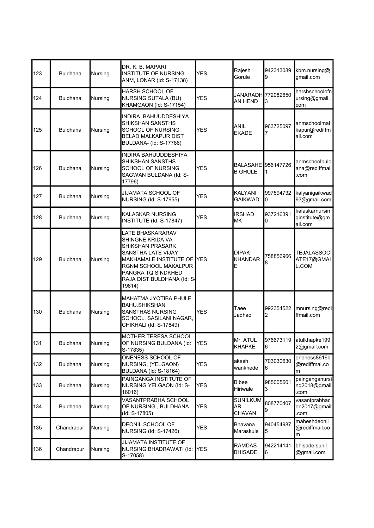| 123 | <b>Buldhana</b> | Nursing        | DR. K. B. MAPARI<br><b>INSTITUTE OF NURSING</b><br>ANM, LONAR (Id: S-17138)                                                                                                                    | <b>YES</b> | Rajesh<br>Gorule                     | 942313089<br>9  | kbm.nursing@<br>gmail.com                  |
|-----|-----------------|----------------|------------------------------------------------------------------------------------------------------------------------------------------------------------------------------------------------|------------|--------------------------------------|-----------------|--------------------------------------------|
| 124 | <b>Buldhana</b> | Nursing        | <b>HARSH SCHOOL OF</b><br><b>NURSING SUTALA (BU)</b><br>KHAMGAON (Id: S-17154)                                                                                                                 | <b>YES</b> | JANARADH 772082650<br><b>AN HEND</b> | 3               | harshschoolofn<br>ursing@gmail.<br>com     |
| 125 | <b>Buldhana</b> | Nursing        | INDIRA BAHUUDDESHIYA<br>SHIKSHAN SANSTHS<br><b>SCHOOL OF NURSING</b><br><b>BELAD MALKAPUR DIST</b><br>BULDANA- (Id: S-17786)                                                                   | <b>YES</b> | <b>ANIL</b><br><b>EKADE</b>          | 963725097       | anmschoolmal<br>kapur@rediffm<br>ail.com   |
| 126 | <b>Buldhana</b> | Nursing        | INDIRA BAHUUDDESHIYA<br>SHIKSHAN SANSTHS<br>SCHOOL OF NURSING<br>SAGWAN BULDANA (Id: S-<br>17796)                                                                                              | <b>YES</b> | BALASAHE 956147726<br><b>B GHULE</b> | 1               | anmschoolbuld<br>ana@rediffmail<br>com     |
| 127 | <b>Buldhana</b> | Nursing        | <b>JIJAMATA SCHOOL OF</b><br>NURSING (Id: S-17955)                                                                                                                                             | <b>YES</b> | KALYANI<br><b>GAIKWAD</b>            | 997594732<br>10 | kalyanigaikwad<br>93@gmail.com             |
| 128 | <b>Buldhana</b> | Nursing        | KALASKAR NURSING<br>INSTITUTE (Id: S-17847)                                                                                                                                                    | <b>YES</b> | <b>IRSHAD</b><br>MK                  | 937216391<br>10 | kalaskarnursin<br>ginstitute@gm<br>ail.com |
| 129 | <b>Buldhana</b> | Nursing        | LATE BHASKARARAV<br>SHINGNE KRIDA VA<br>SHIKSHAN PRASARK<br>SANSTHA LATE VIJAY<br>MAKHAMALE INSTITUTE OF<br>RGNM SCHOOL MAKALPUR<br>PANGRA TQ SINDKHED<br>RAJA DIST BULDHANA (Id: S-<br>19814) | <b>YES</b> | <b>DIPAK</b><br><b>KHANDAR</b><br>E  | 758856966<br>8  | TEJALASSOCI<br>ATE17@GMAI<br>L.COM         |
| 130 | <b>Buldhana</b> | <b>Nursing</b> | MAHATMA JYOTIBA PHULE<br>BAHU.SHIKSHAN<br><b>SANSTHAS NURSING</b><br>SCHOOL, SASILANI NAGAR,<br>CHIKHALI (Id: S-17849)                                                                         | <b>YES</b> | Taee<br>Jadhao                       | 992354522<br>2  | mnursing@redi<br>ffmail.com                |
| 131 | <b>Buldhana</b> | Nursing        | MOTHER TERESA SCHOOL<br>OF NURSING BULDANA (Id:<br>S-17835)                                                                                                                                    | <b>YES</b> | Mr. ATUL<br><b>KHAPKE</b>            | 16              | 976673119 atulkhapke199<br>2@gmail.com     |
| 132 | <b>Buldhana</b> | Nursing        | ONENESS SCHOOL OF<br>NURSING, (YELGAON)<br><b>BULDANA (Id: S-18164)</b>                                                                                                                        | <b>YES</b> | akash<br>wankhede                    | 703030630<br>6  | oneness8616b<br>@rediffmai.co<br>m         |
| 133 | <b>Buldhana</b> | Nursing        | PAINGANGA INSTITUTE OF<br>NURSING YELGAON (Id: S-<br>18016)                                                                                                                                    | YES        | <b>Bibee</b><br>Hiriwale             | 985005601<br>3  | painganganursi<br>ng2018@gmail<br>.com     |
| 134 | <b>Buldhana</b> | Nursing        | VASANTPRABHA SCHOOL<br>OF NURSING, BULDHANA<br>(ld: S-17805)                                                                                                                                   | <b>YES</b> | <b>SUNILKUM</b><br>AR.<br>CHAVAN     | 808770407<br>9  | vasantprabhac<br>on2017@gmail<br>.com      |
| 135 | Chandrapur      | Nursing        | DEONIL SCHOOL OF<br>NURSING (Id: S-17426)                                                                                                                                                      | <b>YES</b> | Bhavana<br>Maraskule                 | 940454987<br>5  | maheshdeonil<br>@rediffmail.co<br>m        |
| 136 | Chandrapur      | Nursing        | <b>JIJAMATA INSTITUTE OF</b><br>NURSING BHADRAWATI (Id:<br>S-17058)                                                                                                                            | <b>YES</b> | <b>RAMDAS</b><br><b>BHISADE</b>      | 942214141<br>6  | bhisade.sunil<br>@gmail.com                |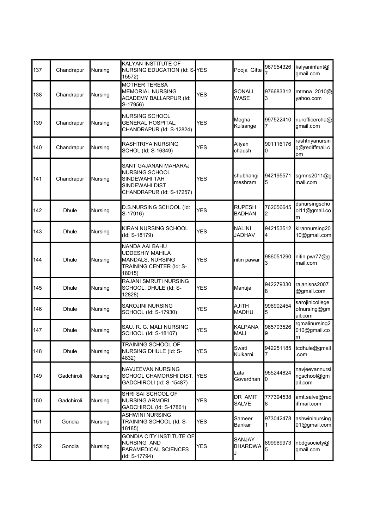| 137 | Chandrapur   | Nursing | KALYAN INSTITUTE OF<br>NURSING EDUCATION (Id: S-YES<br>15572)                                                |              | Pooja Gitte                    | 967954326      | kalyaninfant@<br>gmail.com                 |
|-----|--------------|---------|--------------------------------------------------------------------------------------------------------------|--------------|--------------------------------|----------------|--------------------------------------------|
| 138 | Chandrapur   | Nursing | <b>MOTHER TERESA</b><br><b>MEMORIAL NURSING</b><br><b>ACADEMY BALLARPUR (Id:</b><br>S-17956)                 | <b>YES</b>   | <b>SONALI</b><br><b>WASE</b>   | 976683312<br>3 | mtmna 2010@<br>yahoo.com                   |
| 139 | Chandrapur   | Nursing | <b>NURSING SCHOOL</b><br><b>GENERAL HOSPITAL,</b><br>CHANDRAPUR (Id: S-12824)                                | <b>YES</b>   | Megha<br>Kulsange              | 997522410      | nurofficercha@<br>gmail.com                |
| 140 | Chandrapur   | Nursing | RASHTRIYA NURSING<br>SCHOL (Id: S-16349)                                                                     | <b>YES</b>   | Aliyan<br>chaush               | 901116176<br>0 | rashtriyanursin<br>g@rediffmail.c<br>lom   |
| 141 | Chandrapur   | Nursing | SANT GAJANAN MAHARAJ<br><b>NURSING SCHOOL</b><br>SINDEWAHI TAH<br>SINDEWAHI DIST<br>CHANDRAPUR (Id: S-17257) | <b>YES</b>   | shubhangi<br>meshram           | 942195571<br>5 | sgmns2011@g<br>mail.com                    |
| 142 | <b>Dhule</b> | Nursing | D.S.NURSING SCHOOL (Id:<br>S-17916)                                                                          | <b>YES</b>   | <b>RUPESH</b><br><b>BADHAN</b> | 762056645<br>2 | dsnursingscho<br>ol11@gmail.co<br>m        |
| 143 | <b>Dhule</b> | Nursing | KIRAN NURSING SCHOOL<br>(Id: S-18179)                                                                        | <b>YES</b>   | <b>NALINI</b><br><b>JADHAV</b> | 942153512<br>4 | kirannursing20<br>10@gmail.com             |
| 144 | <b>Dhule</b> | Nursing | NANDA AAI BAHU<br><b>UDDESHIY MAHILA</b><br>MANDALS, NURSING<br>TRAINING CENTER (Id: S-<br>18015)            | <b>YES</b>   | nitin pawar                    | 986051290<br>3 | nitin.pwr77@g<br>mail.com                  |
| 145 | Dhule        | Nursing | RAJANI SMRUTI NURSING<br>SCHOOL, DHULE (Id: S-<br>12828)                                                     | YES          | Manuja                         | 942279330<br>8 | rajanisns2007<br>@gmail.com                |
| 146 | <b>Dhule</b> | Nursing | <b>SAROJINI NURSING</b><br>SCHOOL (Id: S-17930)                                                              | <b>YES</b>   | <b>AJITH</b><br><b>MADHU</b>   | 996902454<br>5 | sarojinicollege<br>ofnursing@gm<br>ail.com |
| 147 | <b>Dhule</b> | Nursing | SAU. R. G. MALI NURSING<br>SCHOOL (Id: S-18107)                                                              | YES          | <b>KALPANA</b><br><b>MALI</b>  | 965703526<br>9 | rgmalinursing2<br>010@gmail.co<br>m        |
| 148 | <b>Dhule</b> | Nursing | TRAINING SCHOOL OF<br>NURSING DHULE (Id: S-<br>4832)                                                         | YES          | Swati<br>Kulkarni              | 942251185      | tcdhule@gmail<br>.com                      |
| 149 | Gadchiroli   | Nursing | NAVJEEVAN NURSING<br>SCHOOL CHAMORSHI DIST.<br>GADCHIROLI (Id: S-15487)                                      | <b>I</b> YES | Lata<br>Govardhan              | 955244824<br>0 | navjeevannursi<br>ngschool@gm<br>ail.com   |
| 150 | Gadchiroli   | Nursing | SHRI SAI SCHOOL OF<br><b>NURSING ARMORI,</b><br>GADCHIROL (Id: S-17861)                                      | YES          | DR AMIT<br>SALVE               | 777394538<br>8 | amt.salve@red<br>iffmail.com               |
| 151 | Gondia       | Nursing | <b>ASHWINI NURSING</b><br>TRAINING SCHOOL (Id: S-<br>18185)                                                  | YES          | Sameer<br>Bankar               | 973042478<br>1 | ashwininursing<br>01@gmail.com             |
| 152 | Gondia       | Nursing | <b>GONDIA CITY INSTITUTE OF</b><br>NURSING AND<br>PARAMEDICAL SCIENCES<br>(Id: S-17794)                      | YES          | SANJAY<br><b>BHARDWA</b><br>J  | 899969973<br>5 | nbdgsociety@<br>gmail.com                  |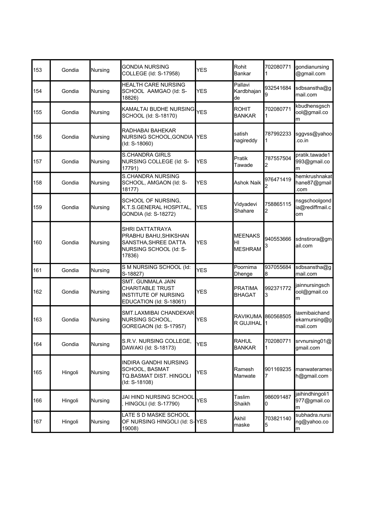| 153 | Gondia  | Nursing | <b>GONDIA NURSING</b><br>COLLEGE (Id: S-17958)                                                       | YES        | Rohit<br>Bankar                        | 702080771       | gondianursing<br>@gmail.com                |
|-----|---------|---------|------------------------------------------------------------------------------------------------------|------------|----------------------------------------|-----------------|--------------------------------------------|
| 154 | Gondia  | Nursing | <b>HEALTH CARE NURSING</b><br>SCHOOL AAMGAO (Id: S-<br>18826)                                        | <b>YES</b> | Pallavi<br>Kardbhajan<br>de            | 932541684       | sdbsanstha@g<br>mail.com                   |
| 155 | Gondia  | Nursing | KAMALTAI BUDHE NURSING<br>SCHOOL (Id: S-18170)                                                       | <b>YES</b> | <b>ROHIT</b><br><b>BANKAR</b>          | 702080771       | kbudhensgsch<br>ool@gmail.co<br>m          |
| 156 | Gondia  | Nursing | RADHABAI BAHEKAR<br>NURSING SCHOOL, GONDIA<br>(Id: S-18060)                                          | IYES       | satish<br>nagireddy                    | 787992233       | sggvss@yahoo<br>.co.in                     |
| 157 | Gondia  | Nursing | <b>S.CHANDRA GIRLS</b><br>NURSING COLLEGE (Id: S-<br>17791)                                          | <b>YES</b> | Pratik<br>Tawade                       | 787557504<br>2  | pratik.tawade1<br>993@gmail.co<br>m        |
| 158 | Gondia  | Nursing | <b>S.CHANDRA NURSING</b><br>SCHOOL, AMGAON (Id: S-<br>18177)                                         | <b>YES</b> | Ashok Naik                             | 976471419       | hemkrushnakat<br>hane87@gmail<br>.com      |
| 159 | Gondia  | Nursing | SCHOOL OF NURSING.<br>K.T.S.GENERAL HOSPITAL,<br>GONDIA (Id: S-18272)                                | <b>YES</b> | Vidyadevi<br>Shahare                   | 758865115<br>2  | nsgschoolgond<br>ia@rediffmail.c<br>om     |
| 160 | Gondia  | Nursing | SHRI DATTATRAYA<br>PRABHU BAHU, SHIKSHAN<br>SANSTHA, SHREE DATTA<br>NURSING SCHOOL (Id: S-<br>17836) | <b>YES</b> | <b>MEENAKS</b><br>HI<br><b>MESHRAM</b> | 940553666<br>3  | sdnstirora@gm<br>ail.com                   |
| 161 | Gondia  | Nursing | S M NURSING SCHOOL (Id:<br>S-18827)                                                                  | <b>YES</b> | Poornima<br>Dhenge                     | 937055684<br>18 | sdbsanstha@g<br>mail.com                   |
| 162 | Gondia  | Nursing | SMT. GUNMALA JAIN<br><b>CHARITABLE TRUST</b><br>INSTITUTE OF NURSING<br>EDUCATION (Id: S-18061)      | YES        | PRATIMA<br>BHAGAT                      | 992371772<br>3  | jainnursingsch<br>ool@gmail.co<br>m        |
| 163 | Gondia  | Nursing | SMT.LAXMIBAI CHANDEKAR<br>NURSING SCHOOL,<br>GOREGAON (Id: S-17957)                                  | <b>YES</b> | RAVIKUMA 860568505<br>R GUJIHAL        | 1               | laxmibaichand<br>ekarnursing@g<br>mail.com |
| 164 | Gondia  | Nursing | S.R.V. NURSING COLLEGE,<br>DAWAKI (Id: S-18173)                                                      | YES        | <b>RAHUL</b><br><b>BANKAR</b>          | 1               | 702080771 srvnursing01@<br>gmail.com       |
| 165 | Hingoli | Nursing | <b>INDIRA GANDHI NURSING</b><br>SCHOOL, BASMAT<br>TQ.BASMAT DIST. HINGOLI<br>(Id: S-18108)           | <b>YES</b> | Ramesh<br>Manwate                      | 901169235<br>7  | manwaterames<br>h@gmail.com                |
| 166 | Hingoli | Nursing | JAI HIND NURSING SCHOOL<br><b>HINGOLI (Id: S-17790)</b>                                              | <b>YES</b> | Taslim<br>Shaikh                       | 986091487<br>0  | jaihindhingoli1<br>977@gmail.co<br>m       |
| 167 | Hingoli | Nursing | LATE S D MASKE SCHOOL<br>OF NURSING HINGOLI (Id: S-YES<br>19008)                                     |            | Akhil<br>maske                         | 703821140<br>5  | subhadra.nursi<br>ng@yahoo.co<br>m         |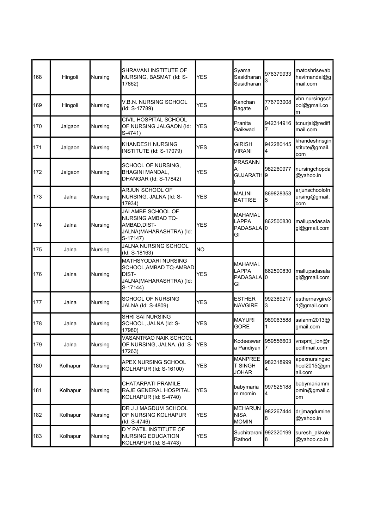| 168 | Hingoli  | Nursing | SHRAVANI INSTITUTE OF<br>NURSING, BASMAT (Id: S-<br>17862)                                            | <b>YES</b> | Syama<br>Sasidharan<br>Sasidharan                               | 976379933<br>3  | matoshrisevab<br>havimandal@g<br>mail.com |
|-----|----------|---------|-------------------------------------------------------------------------------------------------------|------------|-----------------------------------------------------------------|-----------------|-------------------------------------------|
| 169 | Hingoli  | Nursing | V.B.N. NURSING SCHOOL<br>(ld: S-17789)                                                                | <b>YES</b> | Kanchan<br>Bagate                                               | 776703008<br>0  | vbn.nursingsch<br>ool@gmail.co<br>m       |
| 170 | Jalgaon  | Nursing | CIVIL HOSPITAL SCHOOL<br>OF NURSING JALGAON (Id:<br>S-4741)                                           | <b>YES</b> | Pranita<br>Gaikwad                                              | 942314916       | tcnurjal@rediff<br>mail.com               |
| 171 | Jalgaon  | Nursing | <b>KHANDESH NURSING</b><br>INSTITUTE (Id: S-17079)                                                    | <b>YES</b> | <b>GIRISH</b><br><b>VIRANI</b>                                  | 942280145<br>4  | khandeshnsgin<br>stitute@gmail.<br>com    |
| 172 | Jalgaon  | Nursing | SCHOOL OF NURSING,<br><b>BHAGINI MANDAL,</b><br>DHANGAR (Id: S-17842)                                 | <b>YES</b> | <b>PRASANN</b><br>A<br>GUJARATH <sup>1</sup> 9                  | 982260977       | nursingchopda<br>@yahoo.in                |
| 173 | Jalna    | Nursing | ARJUN SCHOOL OF<br>NURSING, JALNA (Id: S-<br>17934)                                                   | YES        | <b>MALINI</b><br><b>BATTISE</b>                                 | 869828353<br>5  | arjunschoolofn<br>ursing@gmail.<br>com    |
| 174 | Jalna    | Nursing | JAI AMBE SCHOOL OF<br><b>NURSING AMBAD TQ-</b><br>AMBAD, DIST-<br>JALNA(MAHARASHTRA) (Id:<br>S-17147) | <b>YES</b> | <b>MAHAMAL</b><br>LAPPA<br>PADASALA<br>GI                       | 862500830<br>IО | mallupadasala<br>gi@gmail.com             |
| 175 | Jalna    | Nursing | JALNA NURSING SCHOOL<br>(Id: S-18163)                                                                 | <b>NO</b>  |                                                                 |                 |                                           |
| 176 | Jalna    | Nursing | <b>MATHSYODARI NURSING</b><br>SCHOOL, AMBAD TQ-AMBAD<br>DIST-<br>JALNA(MAHARASHTRA) (Id:<br>S-17144)  | <b>YES</b> | <b>MAHAMAL</b><br><b>LAPPA</b><br>PADASALA <sup>1</sup> 0<br>GI | 862500830       | mallupadasala<br>gi@gmail.com             |
| 177 | Jalna    | Nursing | <b>SCHOOL OF NURSING</b><br>JALNA (Id: S-4809)                                                        | <b>YES</b> | <b>ESTHER</b><br><b>NAVGIRE</b>                                 | 992389217<br>3  | esthernavgire3<br>1@gmail.com             |
| 178 | Jalna    | Nursing | SHRI SAI NURSING<br>SCHOOL, JALNA (Id: S-<br>17980)                                                   | YES        | <b>MAYURI</b><br>GORE                                           | 989063588       | saianm2013@<br>gmail.com                  |
| 179 | Jalna    | Nursing | VASANTRAO NAIK SCHOOL<br>OF NURSING, JALNA. (Id: S-<br>17263)                                         | <b>YES</b> | Kodeeswar<br>a Pandiyan                                         | 959556603       | vnspmj_ion@r<br>ediffmail.com             |
| 180 | Kolhapur | Nursing | APEX NURSING SCHOOL<br>KOLHAPUR (Id: S-16100)                                                         | <b>YES</b> | <b>MANPREE</b><br>T SINGH<br><b>JOHAR</b>                       | 982318999<br>4  | apexnursingsc<br>hool2015@gm<br>ail.com   |
| 181 | Kolhapur | Nursing | CHATARPATI PRAMILE<br>RAJE GENERAL HOSPITAL<br>KOLHAPUR (Id: S-4740)                                  | YES        | babymaria<br>m momin                                            | 997525188<br>4  | babymariamm<br>omin@gmail.c<br>om         |
| 182 | Kolhapur | Nursing | DR J J MAGDUM SCHOOL<br>OF NURSING KOLHAPUR<br>(Id: S-4746)                                           | YES        | <b>MEHARUN</b><br><b>NISA</b><br><b>MOMIN</b>                   | 982267444<br>8  | drjjmagdumine<br>@yahoo.in                |
| 183 | Kolhapur | Nursing | D Y PATIL INSTITUTE OF<br><b>NURSING EDUCATION</b><br>KOLHAPUR (Id: S-4743)                           | YES        | Suchitrarani<br>Rathod                                          | 992320199<br>8  | suresh_akkole<br>@yahoo.co.in             |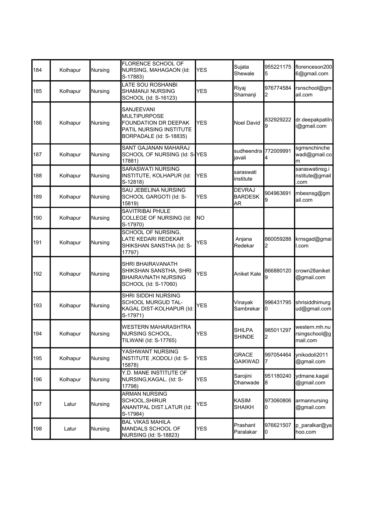| 184 | Kolhapur | Nursing | FLORENCE SCHOOL OF<br>NURSING, MAHAGAON (Id:<br>S-17883)                                                        | <b>YES</b> | Sujata<br>Shewale                            | 955221175<br>5 | florenceson200<br>6@gmail.com              |
|-----|----------|---------|-----------------------------------------------------------------------------------------------------------------|------------|----------------------------------------------|----------------|--------------------------------------------|
| 185 | Kolhapur | Nursing | LATE SOU ROSHANBI<br>SHAMANJI NURSING<br>SCHOOL (Id: S-16123)                                                   | <b>YES</b> | Riyaj<br>Shamanji                            | 976774584<br>2 | rsnschool@gm<br>ail.com                    |
| 186 | Kolhapur | Nursing | SANJEEVANI<br><b>MULTIPURPOSE</b><br>FOUNDATION DR DEEPAK<br>PATIL NURSING INSTITUTE<br>BORPADALE (Id: S-18835) | <b>YES</b> | <b>Noel David</b>                            | 832929222<br>9 | dr.deepakpatiln<br>i@gmail.com             |
| 187 | Kolhapur | Nursing | SANT GAJANAN MAHARAJ<br>SCHOOL OF NURSING (Id: S-YES<br>17881)                                                  |            | sudheendra<br>javali                         | 772009991<br>4 | sgmsnchinche<br>wadi@gmail.co<br>m         |
| 188 | Kolhapur | Nursing | SARASWATI NURSING<br>INSTITUTE, KOLHAPUR (Id:<br>S-12818)                                                       | YES        | saraswati<br>institute                       |                | saraswatinsg.i<br>nstitute@gmail<br>.com   |
| 189 | Kolhapur | Nursing | SAU JEBELINA NURSING<br>SCHOOL GARGOTI (Id: S-<br>15819)                                                        | <b>YES</b> | <b>DEVRAJ</b><br><b>BARDESK</b><br><b>AR</b> | 904963691<br>9 | mbesnsg@gm<br>ail.com                      |
| 190 | Kolhapur | Nursing | SAVITRIBAI PHULE<br>COLLEGE OF NURSING (Id:<br>S-17970)                                                         | lno        |                                              |                |                                            |
| 191 | Kolhapur | Nursing | SCHOOL OF NURSING,<br>LATE KEDARI REDEKAR<br>SHIKSHAN SANSTHA (Id: S-<br>17797)                                 | <b>YES</b> | Anjana<br>Redekar                            | 860059288<br>2 | krnsgad@gmai<br>l.com                      |
| 192 | Kolhapur | Nursing | SHRI BHAIRAVANATH<br>SHIKSHAN SANSTHA, SHRI<br><b>BHAIRAVNATH NURSING</b><br>SCHOOL (Id: S-17060)               | <b>YES</b> | <b>Aniket Kale</b>                           | 866880120<br>9 | crown28aniket<br>@gmail.com                |
| 193 | Kolhapur | Nursing | <b>SHRI SIDDHI NURSING</b><br>SCHOOL MURGUD TAL-<br>KAGAL DIST-KOLHAPUR (Id:<br>S-17971)                        | <b>YES</b> | Vinayak<br>Sambrekar                         | 996431795<br>0 | shrisiddhimurg<br>ud@gmail.com             |
| 194 | Kolhapur | Nursing | WESTERN MAHARASHTRA<br>NURSING SCHOOL,<br>TILWANI (Id: S-17765)                                                 | <b>YES</b> | <b>SHILPA</b><br><b>SHINDE</b>               | 985011297<br>2 | western.mh.nu<br>rsingschool@g<br>mail.com |
| 195 | Kolhapur | Nursing | YASHWANT NURSING<br>INSTITUTE, KODOLI (Id: S-<br>15878)                                                         | <b>YES</b> | <b>GRACE</b><br><b>GAIKWAD</b>               | 997054464      | ynikodoli2011<br>@gmail.com                |
| 196 | Kolhapur | Nursing | Y.D. MANE INSTITUTE OF<br>NURSING, KAGAL. (Id: S-<br>17798)                                                     | <b>YES</b> | Sarojini<br>Dhanwade                         | 951180240<br>8 | ydmane.kagal<br>@gmail.com                 |
| 197 | Latur    | Nursing | <b>ARMAN NURSING</b><br>SCHOOL, SHIRUR<br>ANANTPAL DIST.LATUR (Id:<br>S-17984)                                  | YES        | <b>KASIM</b><br><b>SHAIKH</b>                | 973060806<br>0 | armannursing<br>@gmail.com                 |
| 198 | Latur    | Nursing | <b>BAL VIKAS MAHILA</b><br>MANDALS SCHOOL OF<br>NURSING (Id: S-18823)                                           | <b>YES</b> | Prashant<br>Paralakar                        | 976621507<br>0 | p_paralkar@ya<br>hoo.com                   |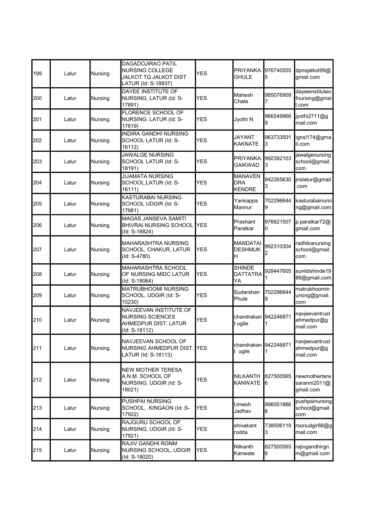| 199 | Latur | Nursing        | DAGADOJIRAO PATIL<br>NURSING COLLEGE<br>JALKOT TQ JALKOT DIST<br>LATUR (Id: S-18837)       | <b>YES</b> | <b>PRIYANKA</b><br><b>GHULE</b>               | 976740555<br>5  | dpnsjalkot99@<br>qmail.com                |
|-----|-------|----------------|--------------------------------------------------------------------------------------------|------------|-----------------------------------------------|-----------------|-------------------------------------------|
| 200 | Latur | Nursing        | DAYEE INSTITUTE OF<br>NURSING, LATUR (Id: S-<br>17891)                                     | <b>YES</b> | Mahesh<br>Chate                               | 985076909       | dayeeinstituteo<br>fnursing@gmai<br>I.com |
| 201 | Latur | Nursing        | FLORENCE SCHOOL OF<br>NURSING, LATUR (Id: S-<br>17819)                                     | <b>YES</b> | Jyothi N                                      | 966549966<br>g  | jyothi2711@g<br>mail.com                  |
| 202 | Latur | Nursing        | <b>INDIRA GANDHI NURSING</b><br>SCHOOL LATUR (Id: S-<br>16112)                             | <b>YES</b> | <b>JAYANT</b><br><b>KAKNATE</b>               | 963733501<br>3  | ignsl174@gma<br>il.com                    |
| 203 | Latur | <b>Nursing</b> | <b>JAWALGE NURSING</b><br>SCHOOL LATUR (Id: S-<br>18191)                                   | <b>YES</b> | <b>PRIYANKA</b><br><b>GAIKWAD</b>             | 992392103<br>3  | jawalgenursing<br>school@gmail.<br>com    |
| 204 | Latur | <b>Nursing</b> | <b>JIJAMATA NURSING</b><br>SCHOOL, LATUR (Id: S-<br>16111)                                 | <b>YES</b> | <b>MANAVEN</b><br><b>DRA</b><br><b>KENDRE</b> | 942265630<br>3  | jnslatur@gmail<br>com                     |
| 205 | Latur | Nursing        | <b>KASTURABAI NURSING</b><br>SCHOOL UDGIR (Id: S-<br>17981)                                | <b>YES</b> | Yankappa<br>Mannur                            | 702296644<br>9  | kasturabainursi<br>ng@gmail.com           |
| 206 | Latur | Nursing        | MAGAS JANSEVA SAMITI<br><b>BHIVRAI NURSING SCHOOL</b><br>(Id: S-18824)                     | <b>YES</b> | Prashant<br>Paralkar                          | 976621507<br>10 | p.paralkar72@<br>gmail.com                |
| 207 | Latur | Nursing        | MAHARASHTRA NURSING<br>SCHOOL, CHAKUR, LATUR<br>(Id: S-4780)                               | <b>YES</b> | <b>MANDATAI</b><br><b>DESHMUK</b><br>Η        | 992310304       | radhikanursing<br>school@gmail.<br>com    |
| 208 | Latur | Nursing        | MAHARASHTRA SCHOOL<br>OF NURSING MIDC LATUR<br>(Id: S-18064)                               | <b>YES</b> | <b>SHINDE</b><br><b>DATTATRA</b><br>YA        | 928447605       | sunildshinde19<br>86@gmail.com            |
| 209 | Latur | Nursing        | MATRUBHOOMI NURSING<br>SCHOOL, UDGIR (Id: S-<br>15230)                                     | <b>YES</b> | Sudarshan<br>Phule                            | 702296644<br>9  | matrubhoomin<br>ursing@gmail.<br>com      |
| 210 | Latur | Nursing        | NAVJEEVAN INSTITUTE OF<br><b>NURSING SCIENCES</b><br>AHMEDPUR DIST. LATUR<br>(ld: S-18112) | <b>YES</b> | chandrakan 942246871<br>t ugile               |                 | navjeevantrust<br>ahmedpur@g<br>mail.com  |
| 211 | Latur | <b>Nursing</b> | NAVJEEVAN SCHOOL OF<br>NURSING AHMEDPUR DIST. YES<br>LATUR (Id: S-18113)                   |            | chandrakan 942246871<br>t ugile               |                 | navjeevantrust<br>ahmedpur@g<br>mail.com  |
| 212 | Latur | <b>Nursing</b> | <b>NEW MOTHER TERESA</b><br>A.N.M. SCHOOL OF<br>NURSING, UDGIR (Id: S-<br>18021)           | <b>YES</b> | <b>NILKANTH</b><br><b>KANWATE</b>             | 827500565<br>6  | newmothertere<br>saranm2011@<br>gmail.com |
| 213 | Latur | <b>Nursing</b> | PUSHPAI NURSING<br>SCHOOL, KINGAON (Id: S-<br>17922)                                       | <b>YES</b> | Umesh<br>Jadhav                               | 996001886<br>6  | pushpainursing<br>school@gmail.<br>com    |
| 214 | Latur | Nursing        | RAJGURU SCHOOL OF<br>NURSING, UDGIR (Id: S-<br>17921)                                      | YES        | shivakant<br>rodda                            | 738506119<br>3  | rsonudgir88@g<br>mail.com                 |
| 215 | Latur | Nursing        | RAJIV GANDHI RGNM<br>NURSING SCHOOL, UDGIR<br>(Id: S-18020)                                | YES        | Nilkanth<br>Kanwate                           | 827500565<br>6  | rajivgandhirgn<br>m@gmail.com             |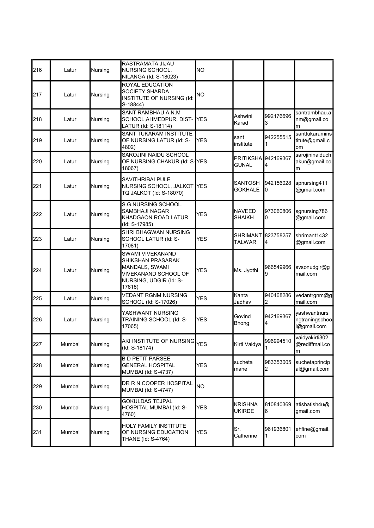| 216 | Latur  | Nursing | RASTRAMATA JIJAU<br>NURSING SCHOOL,<br>NILANGA (Id: S-18023)                                                               | <b>NO</b>    |                                  |                |                                                |
|-----|--------|---------|----------------------------------------------------------------------------------------------------------------------------|--------------|----------------------------------|----------------|------------------------------------------------|
| 217 | Latur  | Nursing | <b>ROYAL EDUCATION</b><br><b>SOCIETY SHARDA</b><br>INSTITUTE OF NURSING (Id:<br>S-18844)                                   | NO           |                                  |                |                                                |
| 218 | Latur  | Nursing | <b>SANT RAMBHAU A.N.M</b><br>SCHOOL, AHMEDPUR, DIST-<br>LATUR (Id: S-18114)                                                | <b>YES</b>   | Ashwini<br>Karad                 | 992176696<br>3 | santrambhau.a<br>nm@gmail.co<br>m              |
| 219 | Latur  | Nursing | SANT TUKARAM INSTITUTE<br>OF NURSING LATUR (Id: S-<br>4802)                                                                | <b>YES</b>   | sant<br>institute                | 942255515      | santtukaramins<br>titute@gmail.c<br>lom        |
| 220 | Latur  | Nursing | SAROJINI NAIDU SCHOOL<br>OF NURSING CHAKUR (Id: S-YES<br>18067)                                                            |              | <b>PRITIKSHA</b><br><b>GUNAL</b> | 942169367<br>4 | sarojininaiduch<br>akur@gmail.co<br>m          |
| 221 | Latur  | Nursing | SAVITHRIBAI PULE<br>NURSING SCHOOL, JALKOT<br>TQ JALKOT (Id: S-18070)                                                      | <b>I</b> YES | SANTOSH<br><b>GOKHALE</b>        | 942156028<br>0 | spnursing411<br>@gmail.com                     |
| 222 | Latur  | Nursing | S.G.NURSING SCHOOL,<br>SAMBHAJI NAGAR<br>KHADGAON ROAD LATUR<br>(Id: S-17985)                                              | <b>YES</b>   | NAVEED<br>SHAIKH                 | 973060806<br>0 | sgnursing786<br>@gmail.com                     |
| 223 | Latur  | Nursing | SHRI BHAGWAN NURSING<br>SCHOOL LATUR (Id: S-<br>17081)                                                                     | <b>YES</b>   | <b>SHRIMANT</b><br><b>TALWAR</b> | 823758257<br>4 | shrimant1432<br>@gmail.com                     |
| 224 | Latur  | Nursing | <b>SWAMI VIVEKANAND</b><br>SHIKSHAN PRASARAK<br>MANDALS, SWAMI<br>VIVEKANAND SCHOOL OF<br>NURSING, UDGIR (Id: S-<br>17818) | YES          | Ms. Jyothi                       | 966549966<br>9 | svsonudgir@g<br>mail.com                       |
| 225 | Latur  | Nursing | <b>VEDANT RGNM NURSING</b><br>SCHOOL (Id: S-17026)                                                                         | YES          | Kanta<br>Jadhav                  | 940468286<br>2 | vedantrgnm@g<br>mail.com                       |
| 226 | Latur  | Nursing | YASHWANT NURSING<br>TRAINING SCHOOL (Id: S-<br>17065)                                                                      | <b>YES</b>   | Govind<br>Bhong                  | 942169367<br>4 | vashwantnursi<br>ngtraningschoo<br>l@gmail.com |
| 227 | Mumbai | Nursing | AKI INSTITUTE OF NURSING <sub>YES</sub><br>(Id: S-18174)                                                                   |              | Kirti Vaidya                     | 996994510      | vaidyakirti302<br>@rediffmail.co<br>m          |
| 228 | Mumbai | Nursing | <b>B D PETIT PARSEE</b><br><b>GENERAL HOSPITAL</b><br>MUMBAI (Id: S-4737)                                                  | YES          | sucheta<br>mane                  | 983353005<br>2 | suchetaprincip<br>al@gmail.com                 |
| 229 | Mumbai | Nursing | DR R N COOPER HOSPITAL<br>MUMBAI (Id: S-4747)                                                                              | <b>NO</b>    |                                  |                |                                                |
| 230 | Mumbai | Nursing | <b>GOKULDAS TEJPAL</b><br>HOSPITAL MUMBAI (Id: S-<br>4760)                                                                 | YES          | <b>KRISHNA</b><br><b>UKIRDE</b>  | 810840369<br>6 | atishatish4u@<br>gmail.com                     |
| 231 | Mumbai | Nursing | <b>HOLY FAMILY INSTITUTE</b><br>OF NURSING EDUCATION<br>THANE (Id: S-4764)                                                 | YES          | Sr.<br>Catherine                 | 961936801<br>1 | ehfine@gmail.<br>com                           |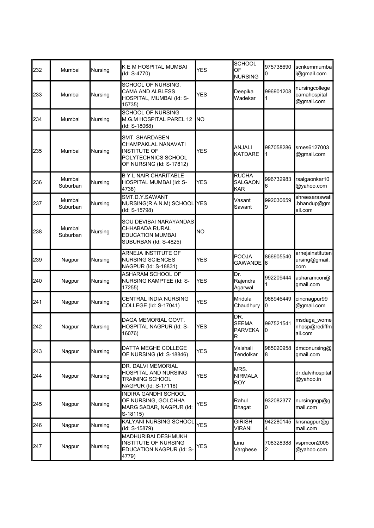| 232 | Mumbai             | Nursing | <b>K E M HOSPITAL MUMBAI</b><br>(Id: S-4770)                                                                    | <b>YES</b> | <b>SCHOOL</b><br>OF<br><b>NURSING</b>        | 975738690<br>0 | scnkemmumba<br>i@gmail.com                   |
|-----|--------------------|---------|-----------------------------------------------------------------------------------------------------------------|------------|----------------------------------------------|----------------|----------------------------------------------|
| 233 | Mumbai             | Nursing | SCHOOL OF NURSING,<br>CAMA AND ALBLESS<br>HOSPITAL, MUMBAI (Id: S-<br>15735)                                    | YES        | Deepika<br>Wadekar                           | 996901208<br>1 | nursingcollege<br>camahospital<br>@gmail.com |
| 234 | Mumbai             | Nursing | <b>SCHOOL OF NURSING</b><br>M.G.M HOSPITAL PAREL 12<br>(Id: S-18068)                                            | INO        |                                              |                |                                              |
| 235 | Mumbai             | Nursing | SMT. SHARDABEN<br>CHAMPAKLAL NANAVATI<br><b>INSTITUTE OF</b><br>POLYTECHNICS SCHOOL<br>OF NURSING (Id: S-17812) | <b>YES</b> | ANJALI<br><b>KATDARE</b>                     | 987058286<br>1 | smes6127003<br>@gmail.com                    |
| 236 | Mumbai<br>Suburban | Nursing | <b>B Y L NAIR CHARITABLE</b><br>HOSPITAL MUMBAI (Id: S-<br>4738)                                                | <b>YES</b> | <b>RUCHA</b><br><b>SALGAON</b><br><b>KAR</b> | 996732983<br>6 | rsalgaonkar10<br>@yahoo.com                  |
| 237 | Mumbai<br>Suburban | Nursing | SMT.D.Y.SAWANT<br>NURSING(R.A.N.M) SCHOOL YES<br>(Id: S-15798)                                                  |            | Vasant<br>Sawant                             | 992030659<br>9 | shreesaraswati<br>.bhandup@gm<br>ail.com     |
| 238 | Mumbai<br>Suburban | Nursing | SOU DEVIBAI NARAYANDAS<br>CHHABADA RURAL<br><b>EDUCATION MUMBAI</b><br>SUBURBAN (Id: S-4825)                    | <b>NO</b>  |                                              |                |                                              |
| 239 | Nagpur             | Nursing | ARNEJA INSTITUTE OF<br><b>NURSING SCIENCES</b><br>NAGPUR (Id: S-18831)                                          | <b>YES</b> | <b>POOJA</b><br><b>GAWANDE</b>               | 866905540<br>6 | arnejainstituten<br>ursing@gmail.<br>com     |
| 240 | Nagpur             | Nursing | ASHARAM SCHOOL OF<br>NURSING KAMPTEE (Id: S-<br>17255)                                                          | <b>YES</b> | Dr.<br>Rajendra<br>Agarwal                   | 992209444      | asharamcon@<br>gmail.com                     |
| 241 | Nagpur             | Nursing | <b>CENTRAL INDIA NURSING</b><br>COLLEGE (Id: S-17041)                                                           | YES        | Mridula<br>Chaudhury                         | 968946449<br>0 | cincnagpur99<br>@gmail.com                   |
| 242 | Nagpur             | Nursing | DAGA MEMORIAL GOVT.<br>HOSPITAL NAGPUR (Id: S-<br>16076)                                                        | <b>YES</b> | DR.<br><b>SEEMA</b><br><b>PARVEKA</b><br>R   | 997521541<br>0 | msdaga_wome<br>nhosp@rediffm<br>ail.com      |
| 243 | Nagpur             | Nursing | DATTA MEGHE COLLEGE<br>OF NURSING (Id: S-18846)                                                                 | <b>YES</b> | Vaishali<br>Tendolkar                        | 985020958<br>8 | dmconursing@<br>gmail.com                    |
| 244 | Nagpur             | Nursing | DR. DALVI MEMORIAL<br>HOSPITAL AND NURSING<br>TRAINING SCHOOL<br>NAGPUR (Id: S-17118)                           | <b>YES</b> | MRS.<br><b>NIRMALA</b><br><b>ROY</b>         |                | dr.dalvihospital<br>@yahoo.in                |
| 245 | Nagpur             | Nursing | INDIRA GANDHI SCHOOL<br>OF NURSING, GOLCHHA<br>MARG SADAR, NAGPUR (Id:<br>S-18115)                              | YES        | Rahul<br><b>Bhagat</b>                       | 932082377<br>0 | nursingngp@g<br>mail.com                     |
| 246 | Nagpur             | Nursing | KALYANI NURSING SCHOOL<br>(ld: S-15879)                                                                         | <b>YES</b> | <b>GIRISH</b><br><b>VIRANI</b>               | 942280145<br>4 | knsnagpur@g<br>mail.com                      |
| 247 | Nagpur             | Nursing | MADHURIBAI DESHMUKH<br>INSTITUTE OF NURSING<br>EDUCATION NAGPUR (Id: S-<br>4779)                                | YES        | Linu<br>Varghese                             | 708328388<br>2 | vspmcon2005<br>@yahoo.com                    |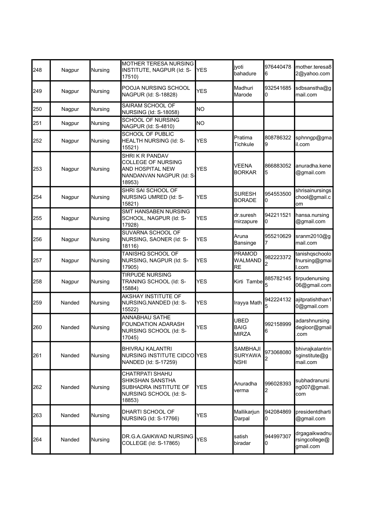| Nagpur | Nursing | INSTITUTE, NAGPUR (Id: S-<br>17510)                                                              | <b>YES</b>              | jyoti<br>bahadure                                                                | 976440478<br>6  | mother.teresa8<br>2@yahoo.com                 |
|--------|---------|--------------------------------------------------------------------------------------------------|-------------------------|----------------------------------------------------------------------------------|-----------------|-----------------------------------------------|
| Nagpur | Nursing | POOJA NURSING SCHOOL<br>NAGPUR (Id: S-18828)                                                     | <b>YES</b>              | Madhuri<br>Marode                                                                | 932541685<br>0  | sdbsanstha@g<br>mail.com                      |
| Nagpur | Nursing | SAIRAM SCHOOL OF<br>NURSING (Id: S-18058)                                                        | NO.                     |                                                                                  |                 |                                               |
| Nagpur | Nursing | <b>SCHOOL OF NURSING</b><br>NAGPUR (Id: S-4810)                                                  | lΝO                     |                                                                                  |                 |                                               |
| Nagpur | Nursing | HEALTH NURSING (Id: S-<br>15521)                                                                 | <b>YES</b>              | Pratima<br>Tichkule                                                              | 808786322<br>9  | sphnngp@gma<br>il.com                         |
| Nagpur | Nursing | SHRIK R PANDAV<br>COLLEGE OF NURSING<br>AND HOSPITAL NEW<br>18953)                               | <b>YES</b>              | <b>VEENA</b><br><b>BORKAR</b>                                                    | 866883052<br>5  | anuradha.kene<br>@gmail.com                   |
| Nagpur | Nursing | SHRI SAI SCHOOL OF<br>NURSING UMRED (Id: S-<br>15821)                                            | <b>YES</b>              | SURESH<br><b>BORADE</b>                                                          | 954553500<br>0  | shrisainursings<br>chool@gmail.c<br>om        |
| Nagpur | Nursing | SMT HANSABEN NURSING<br>SCHOOL, NAGPUR (Id: S-<br>17928)                                         | <b>YES</b>              | dr.suresh<br>mirzapure                                                           | 942211521<br>0  | hansa.nursing<br>@gmail.com                   |
| Nagpur | Nursing | SUVARNA SCHOOL OF<br>NURSING, SAONER (Id: S-<br>18116)                                           | <b>YES</b>              | Aruna<br><b>Bansinge</b>                                                         | 955210629       | sranm2010@g<br>mail.com                       |
| Nagpur | Nursing | TANISHQ SCHOOL OF<br>NURSING, NAGPUR (Id: S-<br>17905)                                           | <b>YES</b>              | <b>PRAMOD</b><br><b>WALMAND</b><br><b>RE</b>                                     | 982223372       | tanishqschoolo<br>fnursing@gmai<br>I.com      |
| Nagpur | Nursing | <b>TIRPUDE NURSING</b><br>TRANING SCHOOL (Id: S-<br>15884)                                       | <b>YES</b>              |                                                                                  | 885782145       | tirpudenursing<br>06@gmail.com                |
| Nanded | Nursing | AKSHAY INSTITUTE OF<br>NURSING, NANDED (Id: S-<br>15522)                                         | <b>YES</b>              | Irayya Math                                                                      | 942224132       | ajitpratishthan1<br>0@gmail.com               |
| Nanded | Nursing | ANNABHAU SATHE<br><b>FOUNDATION ADARASH</b><br>NURSING SCHOOL (Id: S-<br>17045)                  | <b>YES</b>              | <b>UBED</b><br><b>BAIG</b><br><b>MIRZA</b>                                       | 992158999<br>16 | adarshnursing<br>degloor@gmail<br>com         |
| Nanded | Nursing | <b>BHIVRAJ KALANTRI</b><br>NANDED (Id: S-17259)                                                  |                         | <b>SAMBHAJI</b><br><b>SURYAWA</b><br><b>NSHI</b>                                 | 973068080       | bhivrajkalantrin<br>sginstitute@g<br>mail.com |
| Nanded | Nursing | CHATRPATI SHAHU<br>SHIKSHAN SANSTHA<br>SUBHADRA INSTITUTE OF<br>NURSING SCHOOL (Id: S-<br>18853) | YES                     | Anuradha<br>verma                                                                | 996028393<br>2  | subhadranursi<br>ng007@gmail.<br>com          |
| Nanded | Nursing | DHARTI SCHOOL OF<br>NURSING (Id: S-17766)                                                        | YES                     | Mallikarjun<br>Darpal                                                            | 942084869<br>10 | presidentdharti<br>@gmail.com                 |
| Nanded | Nursing | DR.G.A.GAIKWAD NURSING<br>COLLEGE (Id: S-17865)                                                  | <b>YES</b>              | satish<br>biradar                                                                | 944997307<br>0  | drgagaikwadnu<br>rsingcollege@<br>gmail.com   |
|        |         |                                                                                                  | <b>SCHOOL OF PUBLIC</b> | MOTHER TERESA NURSING<br>NANDANVAN NAGPUR (Id: S-<br>NURSING INSTITUTE CIDCO YES |                 | Kirti Tambe                                   |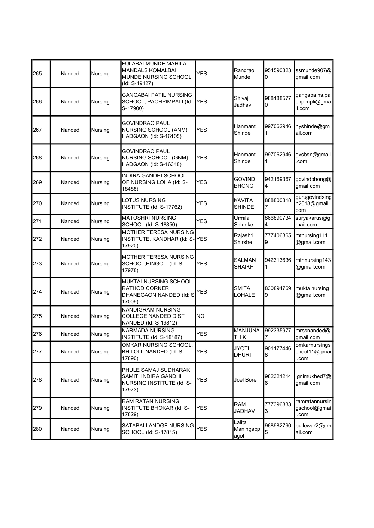| 265 | Nanded | Nursing        | <b>FULABAI MUNDE MAHILA</b><br><b>MANDALS KOMALBAI</b><br>MUNDE NURSING SCHOOL<br>(Id: S-19127) | <b>YES</b> | Rangrao<br>Munde             | 954590823<br>0 | ssmunde907@<br>gmail.com                |
|-----|--------|----------------|-------------------------------------------------------------------------------------------------|------------|------------------------------|----------------|-----------------------------------------|
| 266 | Nanded | Nursing        | <b>GANGABAI PATIL NURSING</b><br>SCHOOL, PACHPIMPALI (Id:<br>S-17900)                           | <b>YES</b> | Shivaji<br>Jadhav            | 988188577<br>0 | gangabains.pa<br>chpimpli@gma<br>il.com |
| 267 | Nanded | Nursing        | GOVINDRAO PAUL<br>NURSING SCHOOL (ANM)<br>HADGAON (Id: S-16105)                                 | YES        | Hanmant<br>Shinde            | 997062946      | hyshinde@gm<br>ail.com                  |
| 268 | Nanded | Nursing        | <b>GOVINDRAO PAUL</b><br>NURSING SCHOOL (GNM)<br>HADGAON (Id: S-16348)                          | <b>YES</b> | Hanmant<br>Shinde            | 997062946      | gvsbsn@gmail<br>com                     |
| 269 | Nanded | Nursing        | INDIRA GANDHI SCHOOL<br>OF NURSING LOHA (Id: S-<br>18488)                                       | YES        | govind<br><b>BHONG</b>       | 942169367<br>4 | govindbhong@<br>gmail.com               |
| 270 | Nanded | Nursing        | <b>LOTUS NURSING</b><br>INSTITUTE (Id: S-17762)                                                 | YES        | KAVITA<br><b>SHINDE</b>      | 888800818<br>7 | gurugovindsing<br>h2018@gmail.<br>com   |
| 271 | Nanded | Nursing        | <b>MATOSHRI NURSING</b><br>SCHOOL (Id: S-18850)                                                 | <b>YES</b> | Urmila<br>Solunke            | 866890734<br>4 | suryakarus@g<br>mail.com                |
| 272 | Nanded | Nursing        | MOTHER TERESA NURSING<br>INSTITUTE, KANDHAR (Id: S-<br>17920)                                   | <b>YES</b> | Rajashri<br>Shirshe          | 777406365<br>9 | mtnursing111<br>@gmail.com              |
| 273 | Nanded | Nursing        | MOTHER TERESA NURSING<br>SCHOOL, HINGOLI (Id: S-<br>17978)                                      | <b>YES</b> | <b>SALMAN</b><br>SHAIKH      | 942313636      | mtnnursing143<br>@gmail.com             |
| 274 | Nanded | Nursing        | MUKTAI NURSING SCHOOL,<br>RATHOD CORNER<br>DHANEGAON NANDED (Id: S-<br>17009)                   | <b>YES</b> | SMITA<br>LOHALE              | 830894769<br>9 | muktainursing<br>@gmail.com             |
| 275 | Nanded | Nursing        | <b>NANDIGRAM NURSING</b><br><b>COLLEGE NANDED DIST</b><br>NANDED (Id: S-19812)                  | ΝO         |                              |                |                                         |
| 276 | Nanded | Nursing        | NARMADA NURSING<br>INSTITUTE (Id: S-18187)                                                      | <b>YES</b> | MANJUNA<br>TH <sub>K</sub>   | 992335977<br>7 | mrssnanded@<br>gmail.com                |
| 277 | Nanded | Nursing        | OMKAR NURSING SCHOOL,<br>BHILOLI, NANDED (Id: S-<br>17890)                                      | YES        | <b>ITOYL</b><br><b>DHURI</b> | 901177446<br>8 | omkarnursings<br>chool11@gmai<br>l.com  |
| 278 | Nanded | Nursing        | PHULE SAMAJ SUDHARAK<br>SAMITI INDIRA GANDHI<br>NURSING INSTITUTE (Id: S-<br>17973)             | YES        | Joel Bore                    | 982321214<br>6 | ignimukhed7@<br>gmail.com               |
| 279 | Nanded | <b>Nursing</b> | RAM RATAN NURSING<br>INSTITUTE BHOKAR (Id: S-<br>17829)                                         | YES        | RAM<br>JADHAV                | 777396833<br>3 | ramratannursin<br>gschool@gmai<br>I.com |
| 280 | Nanded | Nursing        | SATABAI LANDGE NURSING<br>SCHOOL (Id: S-17815)                                                  | <b>YES</b> | Lalita<br>Maningapp<br>agol  | 968982790<br>5 | pullewar2@gm<br>ail.com                 |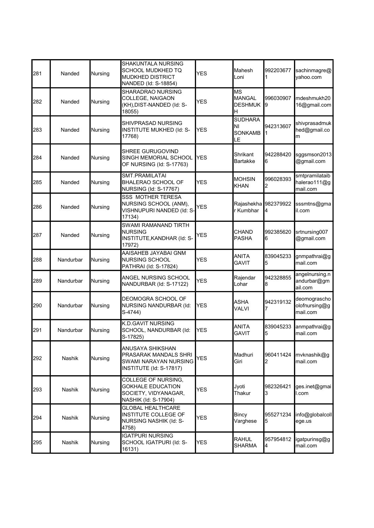| 281 | Nanded        | Nursing | SHAKUNTALA NURSING<br>SCHOOL MUDKHED TQ<br><b>MUDKHED DISTRICT</b><br>NANDED (Id: S-18854)           | <b>YES</b> | Mahesh<br>Loni                                    | 992203677      | sachinmagre@<br>yahoo.com                  |
|-----|---------------|---------|------------------------------------------------------------------------------------------------------|------------|---------------------------------------------------|----------------|--------------------------------------------|
| 282 | Nanded        | Nursing | SHARADRAO NURSING<br>COLLEGE, NAIGAON<br>(KH), DIST-NANDED (Id: S-<br>18055)                         | YES        | <b>MS</b><br><b>MANGAL</b><br><b>DESHMUK</b><br>Н | 996030907<br>9 | mdeshmukh20<br>16@gmail.com                |
| 283 | Nanded        | Nursing | SHIVPRASAD NURSING<br>INSTITUTE MUKHED (Id: S-<br>17768)                                             | YES        | <b>SUDHARA</b><br>NI<br><b>SONKAMB</b><br>LE      | 942313607      | shivprasadmuk<br>hed@gmail.co<br>m         |
| 284 | Nanded        | Nursing | SHREE GURUGOVIND<br>SINGH MEMORIAL SCHOOL<br>OF NURSING (Id: S-17763)                                | <b>YES</b> | <b>Shrikant</b><br>Bartakke                       | 942288420<br>6 | sggsmson2013<br>@gmail.com                 |
| 285 | Nanded        | Nursing | <b>SMT.PRAMILATAI</b><br><b>BHALERAO SCHOOL OF</b><br><b>NURSING (Id: S-17767)</b>                   | <b>YES</b> | <b>MOHSIN</b><br><b>KHAN</b>                      | 996028393<br>2 | smtpramilataib<br>halerao111@g<br>mail.com |
| 286 | Nanded        | Nursing | <b>SSS MOTHER TERESA</b><br>NURSING SCHOOL (ANM),<br>VISHNUPURI NANDED (Id: S-<br>17134)             | <b>YES</b> | Rajashekha 982379922<br>r Kumbhar                 | 4              | sssmtns@gma<br>il.com                      |
| 287 | Nanded        | Nursing | SWAMI RAMANAND TIRTH<br><b>NURSING</b><br>INSTITUTE, KANDHAR (Id: S-<br>17972)                       | YES        | <b>CHAND</b><br><b>PASHA</b>                      | 992385620<br>6 | srtnursing007<br>@gmail.com                |
| 288 | Nandurbar     | Nursing | AAISAHEB JAYABAI GNM<br>NURSING SCHOOL<br>PATHRAI (Id: S-17824)                                      | <b>YES</b> | ANITA<br><b>GAVIT</b>                             | 839045233<br>5 | gnmpathrai@g<br>mail.com                   |
| 289 | Nandurbar     | Nursing | ANGEL NURSING SCHOOL<br>NANDURBAR (Id: S-17122)                                                      | <b>YES</b> | Rajendar<br>Lohar                                 | 942328855<br>8 | angelnursing.n<br>andurbar@gm<br>ail.com   |
| 290 | Nandurbar     | Nursing | DEOMOGRA SCHOOL OF<br>NURSING NANDURBAR (Id:<br>S-4744)                                              | <b>YES</b> | <b>ASHA</b><br>VALVI                              | 942319132      | deomograscho<br>olofnursing@g<br>mail.com  |
| 291 | Nandurbar     | Nursing | <b>K.D.GAVIT NURSING</b><br>SCHOOL, NANDURBAR (Id:<br>S-17825)                                       | <b>YES</b> | ANITA<br><b>GAVIT</b>                             | 839045233<br>5 | anmpathrai@g<br>mail.com                   |
| 292 | <b>Nashik</b> | Nursing | ANUSAYA SHIKSHAN<br>PRASARAK MANDALS SHRI<br><b>SWAMI NARAYAN NURSING</b><br>INSTITUTE (Id: S-17817) | <b>YES</b> | Madhuri<br>Giri                                   | 960411424<br>2 | mvknashik@g<br>mail.com                    |
| 293 | Nashik        | Nursing | COLLEGE OF NURSING,<br><b>GOKHALE EDUCATION</b><br>SOCIETY, VIDYANAGAR,<br>NASHIK (Id: S-17904)      | YES        | Jyoti<br>Thakur                                   | 982326421<br>3 | ges.inet@gmai<br>l.com                     |
| 294 | <b>Nashik</b> | Nursing | <b>GLOBAL HEALTHCARE</b><br>INSTITUTE COLLEGE OF<br><b>NURSING NASHIK (Id: S-</b><br>4758)           | YES        | Bincy<br>Varghese                                 | 955271234<br>5 | info@globalcoll<br>ege.us                  |
| 295 | Nashik        | Nursing | <b>IGATPURI NURSING</b><br>SCHOOL IGATPURI (Id: S-<br>16131)                                         | <b>YES</b> | RAHUL<br><b>SHARMA</b>                            | 957954812<br>4 | igatpurinsg@g<br>mail.com                  |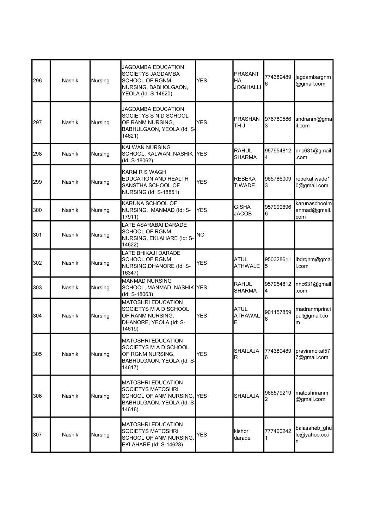| 296 | <b>Nashik</b> | Nursing        | <b>JAGDAMBA EDUCATION</b><br>SOCIETYS JAGDAMBA<br><b>SCHOOL OF RGNM</b><br>NURSING, BABHOLGAON,<br>YEOLA (Id: S-14620) | <b>YES</b> | <b>PRASANT</b><br>HA<br><b>JOGIHALLI</b> | 774389489<br>6 | jagdambargnm<br>@gmail.com           |
|-----|---------------|----------------|------------------------------------------------------------------------------------------------------------------------|------------|------------------------------------------|----------------|--------------------------------------|
| 297 | Nashik        | Nursing        | JAGDAMBA EDUCATION<br>SOCIETYS S N D SCHOOL<br>OF RANM NURSING,<br>BABHULGAON, YEOLA (Id: S-<br>14621)                 | <b>YES</b> | <b>PRASHAN</b><br>L HT                   | 976780586<br>3 | sndranm@gma<br>il.com                |
| 298 | Nashik        | Nursing        | <b>KALWAN NURSING</b><br>SCHOOL, KALWAN, NASHIK YES<br>(Id: S-18062)                                                   |            | <b>RAHUL</b><br><b>SHARMA</b>            | 957954812<br>4 | nnc631@gmail<br>.com                 |
| 299 | <b>Nashik</b> | Nursing        | KARM R S WAGH<br>EDUCATION AND HEALTH<br>SANSTHA SCHOOL OF<br>NURSING (Id: S-18851)                                    | <b>YES</b> | REBEKA<br><b>TIWADE</b>                  | 965786009<br>3 | rebekatiwade1<br>0@gmail.com         |
| 300 | <b>Nashik</b> | Nursing        | <b>KARUNA SCHOOL OF</b><br>NURSING, MANMAD (Id: S-<br>17911)                                                           | YES        | <b>GISHA</b><br><b>JACOB</b>             | 957999696<br>6 | karunaschoolm<br>anmad@gmail.<br>com |
| 301 | <b>Nashik</b> | Nursing        | LATE ASARABAI DARADE<br>SCHOOL OF RGNM<br>NURSING, EKLAHARE (Id: S-<br>14622)                                          | lno        |                                          |                |                                      |
| 302 | Nashik        | Nursing        | LATE BHIKAJI DARADE<br><b>SCHOOL OF RGNM</b><br>NURSING, DHANORE (Id: S-<br>16347)                                     | YES        | <b>ATUL</b><br><b>ATHWALE</b>            | 950328611<br>5 | lbdrgnm@gmai<br>l.com                |
| 303 | Nashik        | Nursing        | <b>MANMAD NURSING</b><br>SCHOOL, MANMAD, NASHIK YES<br>(Id: S-18063)                                                   |            | <b>RAHUL</b><br><b>SHARMA</b>            | 957954812<br>4 | nnc631@gmail<br>.com                 |
| 304 | Nashik        | Nursing        | <b>MATOSHRI EDUCATION</b><br>SOCIETYS M A D SCHOOL<br>OF RANM NURSING,<br>DHANORE, YEOLA (Id: S-<br>14619)             | <b>YES</b> | <b>ATUL</b><br><b>ATHAWAL</b><br>E       | 901157859<br>6 | madranmprinci<br>pal@gmail.co<br>m   |
| 305 | Nashik        | <b>Nursing</b> | <b>MATOSHRI EDUCATION</b><br>SOCIETYS M A D SCHOOL<br>OF RGNM NURSING,<br>BABHULGAON, YEOLA (Id: S-<br>14617)          | <b>YES</b> | SHAILAJA<br>R                            | 774389489<br>6 | pravinmokal57<br>7@gmail.com         |
| 306 | Nashik        | Nursing        | <b>MATOSHRI EDUCATION</b><br><b>SOCIETYS MATOSHRI</b><br>SCHOOL OF ANM NURSING.<br>BABHULGAON, YEOLA (Id: S-<br>14618) | <b>YES</b> | SHAILAJA                                 | 966579219<br>2 | matoshriranm<br>@gmail.com           |
| 307 | Nashik        | Nursing        | <b>MATOSHRI EDUCATION</b><br>SOCIETYS MATOSHRI<br>SCHOOL OF ANM NURSING.<br>EKLAHARE (Id: S-14623)                     | YES        | kishor<br>darade                         | 777400242      | balasaheb_ghu <br>le@yahoo.co.i<br>n |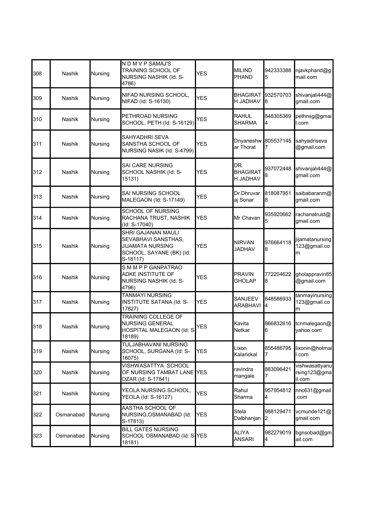| 308 | <b>Nashik</b> | Nursing | N D M V P SAMAJ'S<br>TRAINING SCHOOL OF<br>NURSING NASHIK (Id: S-<br>4786)                                   | <b>YES</b>  | <b>MILIND</b><br><b>PHAND</b>      | 942333388<br>5      | njavkphand@g<br>mail.com                 |
|-----|---------------|---------|--------------------------------------------------------------------------------------------------------------|-------------|------------------------------------|---------------------|------------------------------------------|
| 309 | <b>Nashik</b> | Nursing | NIFAD NURSING SCHOOL,<br>NIFAD (Id: S-16130)                                                                 | <b>YES</b>  | <b>BHAGIRAT</b><br>H JADHAV        | 932570703<br>8      | shivanjali444@<br>gmail.com              |
| 310 | Nashik        | Nursing | PETHROAD NURSING<br>SCHOOL, PETH (Id: S-16129)                                                               | YES         | <b>RAHUL</b><br><b>SHARMA</b>      | 848305369<br>4      | pethnsg@gmai<br>l.com                    |
| 311 | <b>Nashik</b> | Nursing | SAHYADHRI SEVA<br>SANSTHA SCHOOL OF<br>NURSING NASIK (Id: S-4799)                                            | <b>YES</b>  | ar Thorat                          | Dnyaneshw 805537145 | sahyadriseva<br>@gmail.com               |
| 312 | <b>Nashik</b> | Nursing | <b>SAI CARE NURSING</b><br>SCHOOL NASHIK (Id: S-<br>15131)                                                   | <b>YES</b>  | DR.<br><b>BHAGIRAT</b><br>H JADHAV | 937072448<br>8      | shivanjali444@<br>gmail.com              |
| 313 | <b>Nashik</b> | Nursing | <b>SAI NURSING SCHOOL</b><br>MALEGAON (Id: S-17149)                                                          | <b>YES</b>  | Dr.Dhruvar<br>aj Sonar             | 818087951<br>8      | saibabaranm@<br>gmail.com                |
| 314 | <b>Nashik</b> | Nursing | <b>SCHOOL OF NURSING</b><br>RACHANA TRUST, NASHIK<br>(Id: S-17040)                                           | <b>YES</b>  | Mr Chavan                          | 935920662<br>5      | rachanatrust@<br>gmail.com               |
| 315 | <b>Nashik</b> | Nursing | SHRI GAJANAN MAULI<br>SEVABHAVI SANSTHAS,<br><b>JIJAMATA NURSING</b><br>SCHOOL, SAYANE (BK) (Id:<br>S-18117) | <b>YES</b>  | <b>NIRVAN</b><br>JADHAV            | 976664118<br>8      | jijamatanursing<br>123@gmail.co<br>m     |
| 316 | <b>Nashik</b> | Nursing | SMMPP GANPATRAO<br>ADKE INSTITUTE OF<br>NURSING NASHIK (Id: S-<br>4796)                                      | <b>YES</b>  | <b>PRAVIN</b><br><b>GHOLAP</b>     | 772204622<br>8      | gholappravin85<br>@gmail.com             |
| 317 | <b>Nashik</b> | Nursing | <b>TANMAYI NURSING</b><br>INSTITUTE SATANA (Id: S-<br>17827)                                                 | <b>YES</b>  | SANJEEV<br><b>ARABHAVI</b>         | 848586933<br>4      | tanmayinursing<br>123@gmail.co<br>m      |
| 318 | <b>Nashik</b> | Nursing | TRAINING COLLEGE OF<br><b>NURSING GENERAL</b><br>HOSPITAL MALEGAON (Id: S-<br>18189)                         | <b>YES</b>  | Kavita<br>Netkar                   | 866832616<br>6      | tcnmalegaon@<br>yahoo.com                |
| 319 | Nashik        | Nursing | TULJABHAVANI NURSING<br>SCHOOL, SURGANA (Id: S-<br>16075)                                                    | YES         | Lixon<br>Kalarickal                | 855486795<br>7      | lixonin@hotmai<br>l.com                  |
| 320 | Nashik        | Nursing | VISHWASATTYA SCHOOL<br>OF NURSING TAMBAT LANE<br>OZAR (Id: S-17841)                                          | <b>IYES</b> | ravindra<br>mangale                | 883096421<br>7      | vishwasattyanu<br>rsing123@gma<br>il.com |
| 321 | Nashik        | Nursing | YEOLA NURSING SCHOOL,<br>YEOLA (Id: S-16127)                                                                 | <b>YES</b>  | Rahul<br>Sharma                    | 957954812<br>4      | nnc631@gmail<br>.com                     |
| 322 | Osmanabad     | Nursing | AASTHA SCHOOL OF<br>NURSING, OSMANABAD (Id:<br>S-17813)                                                      | YES         | Stela<br>Dalbhanjan                | 988129471<br>2      | vcmunde121@<br>gmail.com                 |
| 323 | Osmanabad     | Nursing | <b>BILL GATES NURSING</b><br>SCHOOL OSMANABAD (Id: S-YES<br>18181)                                           |             | ALIYA<br><b>ANSARI</b>             | 982279019<br>4      | bgnsobad@gm<br>ail.com                   |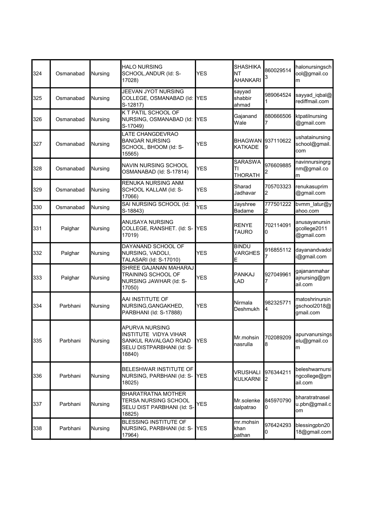| 324 | Osmanabad | Nursing        | <b>HALO NURSING</b><br>SCHOOL, ANDUR (Id: S-<br>17028)                                                 | YES        | <b>SHASHIKA</b><br>NT<br>AHANKARI   | 860029514<br>3 | halonursingsch<br>ool@gmail.co<br>m         |
|-----|-----------|----------------|--------------------------------------------------------------------------------------------------------|------------|-------------------------------------|----------------|---------------------------------------------|
| 325 | Osmanabad | Nursing        | <b>JEEVAN JYOT NURSING</b><br>COLLEGE, OSMANABAD (Id:<br>S-12817)                                      | <b>YES</b> | sayyad<br>shabbir<br>ahmad          | 989064524      | sayyad_iqbal@<br>rediffmail.com             |
| 326 | Osmanabad | Nursing        | K T PATIL SCHOOL OF<br>NURSING, OSMANABAD (Id:<br>S-17049)                                             | <b>YES</b> | Gajanand<br>Wale                    | 880666506      | ktpatilnursing<br>@gmail.com                |
| 327 | Osmanabad | Nursing        | LATE CHANGDEVRAO<br><b>BANGAR NURSING</b><br>SCHOOL, BHOOM (Id: S-<br>15565)                           | <b>YES</b> | <b>BHAGWAN</b><br>KATKADE           | 937110622<br>9 | ushatainursing<br>school@gmail.<br>com      |
| 328 | Osmanabad | Nursing        | <b>NAVIN NURSING SCHOOL</b><br>OSMANABAD (Id: S-17814)                                                 | <b>YES</b> | <b>SARASWA</b><br>ΤI<br>THORATH     | 976609885<br>2 | navinnursingrg<br>nm@gmail.co<br>m          |
| 329 | Osmanabad | Nursing        | RENUKA NURSING ANM<br>SCHOOL KALLAM (Id: S-<br>17066)                                                  | <b>YES</b> | Sharad<br>Jadhavar                  | 705703323<br>2 | renukasuprim<br>@gmail.com                  |
| 330 | Osmanabad | Nursing        | SAI NURSING SCHOOL (Id:<br>S-18843)                                                                    | <b>YES</b> | Jayshree<br><b>Badame</b>           | 777501222<br>2 | bvmm_latur@y<br>ahoo.com                    |
| 331 | Palghar   | Nursing        | ANUSAYA NURSING<br>COLLEGE, RANSHET. (Id: S-<br>17019)                                                 | <b>YES</b> | <b>RENYE</b><br><b>TAURO</b>        | 702114091<br>0 | anusayanursin<br>gcollege2011<br>@gmail.com |
| 332 | Palghar   | Nursing        | DAYANAND SCHOOL OF<br>NURSING, VADOLI,<br>TALASARI (Id: S-17010)                                       | <b>YES</b> | <b>BINDU</b><br><b>VARGHES</b><br>E | 916855112      | dayanandvadol<br>i@gmail.com                |
| 333 | Palghar   | Nursing        | SHREE GAJANAN MAHARAJ<br>TRAINING SCHOOL OF<br>NURSING JAWHAR (Id: S-<br>17050)                        | YES        | PANKAJ<br>LAD                       | 927049961      | gajananmahar<br>ajnursing@gm<br>ail.com     |
| 334 | Parbhani  | Nursing        | AAI INSTITUTE OF<br>NURSING, GANGAKHED,<br>PARBHANI (Id: S-17888)                                      | <b>YES</b> | Nirmala<br>Deshmukh                 | 982325771<br>4 | matoshrinursin<br>gschool2018@<br>gmail.com |
| 335 | Parphani  | <b>Nursing</b> | APURVA NURSING<br>INSTITUTE VIDYA VIHAR<br>SANKUL RAVALGAO ROAD<br>SELU DISTPARBHANI (Id: S-<br>18840) | <b>YES</b> | Mr.mohsin<br>nasrulla               | 702089209<br>8 | apurvanursings<br>elu@gmail.co<br>lm        |
| 336 | Parbhani  | Nursing        | BELESHWAR INSTITUTE OF<br>NURSING, PARBHANI (Id: S-<br>18025)                                          | <b>YES</b> | VRUSHALI<br>KULKARNI                | 976344211<br>2 | beleshwarnursi<br>ngcollege@gm<br>ail.com   |
| 337 | Parbhani  | Nursing        | <b>BHARATRATNA MOTHER</b><br>TERSA NURSING SCHOOL<br>SELU DIST PARBHANI (Id: S-<br>18825)              | YES        | Mr.solenke<br>dalpatrao             | 845970790<br>0 | bharatratnasel<br>u.pbn@gmail.c<br>om       |
| 338 | Parbhani  | Nursing        | BLESSING INSTITUTE OF<br>NURSING, PARBHANI (Id: S-<br>17964)                                           | YES        | mr.mohsin<br>khan<br>pathan         | 976424293<br>0 | blessingpbn20<br>18@gmail.com               |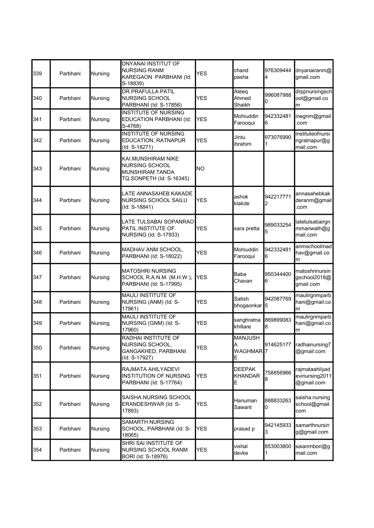| 339 | Parbhani | Nursing | DNYANAI INSTITUT OF<br><b>NURSING RANM</b><br>KAREGAON PARBHANI (Id:<br>S-18839)           | <b>YES</b> | chand<br>pasha                             | 976309444<br>4  | dnyanairanm@<br>gmail.com                      |
|-----|----------|---------|--------------------------------------------------------------------------------------------|------------|--------------------------------------------|-----------------|------------------------------------------------|
| 340 | Parbhani | Nursing | <b>DR.PRAFULLA PATIL</b><br><b>NURSING SCHOOL</b><br>PARBHANI (Id: S-17856)                | <b>YES</b> | Ateeq<br>Ahmed<br>Shaikh                   | 996087988<br>0  | drppnursingsch<br>ool@gmail.co<br>m            |
| 341 | Parbhani | Nursing | <b>INSTITUTE OF NURSING</b><br>EDUCATION PARBHANI (Id:<br>S-4768)                          | <b>YES</b> | Mohiuddin<br>Farooqui                      | 942332481<br>6  | inegnm@gmail<br>com                            |
| 342 | Parbhani | Nursing | <b>INSTITUTE OF NURSING</b><br>EDUCATION, RATNAPUR<br>(Id: S-18271)                        | <b>YES</b> | Jintu<br>ibrahim                           | 973076990       | instituteofnursi<br>ngratnapur@g<br>mail.com   |
| 343 | Parbhani | Nursing | KAI.MUNSHIRAM NIKE<br><b>NURSING SCHOOL</b><br>MUNSHIRAM TANDA<br>TQ.SONPETH (Id: S-16345) | <b>NO</b>  |                                            |                 |                                                |
| 344 | Parbhani | Nursing | LATE ANNASAHEB KAKADE<br><b>NURSING SCHOOL SAILU</b><br>(Id: S-18841)                      | <b>YES</b> | ashok<br>klakde                            | 942217771<br>2  | annasahebkak<br>deranm@gmail<br>.com           |
| 345 | Parbhani | Nursing | LATE TULSABAI SOPANRAO<br>PATIL INSTITUTE OF<br><b>NURSING (Id: S-17933)</b>               | <b>YES</b> | sara pretta                                | 989033254<br>5  | latetulsabairgn<br>mmanwath@g<br>mail.com      |
| 346 | Parbhani | Nursing | MADHAV ANM SCHOOL,<br>PARBHANI (Id: S-18022)                                               | YES        | Mohiuddin<br>Farooqui                      | 942332481<br>6  | anmschoolmad<br>hav@gmail.co<br>m              |
| 347 | Parbhani | Nursing | <b>MATOSHRI NURSING</b><br>SCHOOL R.A.N.M. (M.H.W.),<br>PARBHANI (Id: S-17995)             | <b>YES</b> | Baba<br>Chavan                             | 950344400<br>6  | matoshrinursin<br>gschool2018@<br>gmail.com    |
| 348 | Parbhani | Nursing | <b>MAULI INSTITUTE OF</b><br>NURSING (ANM) (Id: S-<br>17961)                               | YES        | Satish<br>bhogaonkar                       | 942087769<br>5  | maulirgnmparb<br>hani@gmail.co<br>m            |
| 349 | Parbhani | Nursing | <b>MAULI INSTITUTE OF</b><br>NURSING (GNM) (Id: S-<br>17960)                               | <b>YES</b> | sanghratna<br>khillare                     | 869899083<br>8  | maulirgnmparb<br>hani@gmail.co<br>m            |
| 350 | Parbhani | Nursing | RADHAI INSTITUTE OF<br>NURSING SCHOOL,<br>GANGAKHED, PARBHANI<br>(Id: S-17927)             | YES        | <b>MANJUSH</b><br>Α<br><b>WAGHMAR</b><br>E | 914625177<br>17 | radhainursing7<br>@gmail.com                   |
| 351 | Parbhani | Nursing | RAJMATA AHILYADEVI<br><b>INSTITUTION OF NURSING</b><br>PARBHANI (Id: S-17764)              | YES        | <b>DEEPAK</b><br><b>KHANDAR</b><br>E       | 758856966<br>8  | rajmataahilyad<br>evinursing2011<br>@gmail.com |
| 352 | Parbhani | Nursing | SAISHA NURSING SCHOOL<br>ERANDESHWAR (Id: S-<br>17893)                                     | YES        | Hanuman<br>Sawant                          | 888833263<br>0  | saisha.nursing<br>school@gmail.<br>com         |
| 353 | Parbhani | Nursing | <b>SAMARTH NURSING</b><br>SCHOOL, PARBHANI (Id: S-<br>18065)                               | YES        | prasad p                                   | 942145933<br>3  | samarthnursin<br>g@gmail.com                   |
| 354 | Parbhani | Nursing | SHRI SAI INSTITUTE OF<br>NURSING SCHOOL RANM<br>BORI (Id: S-18976)                         | YES        | vishal<br>devke                            | 853003800       | saianmbori@g<br>mail.com                       |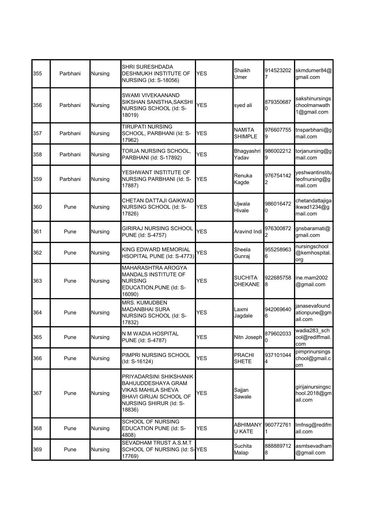| 355 | Parbhani | Nursing        | SHRI SURESHDADA<br>DESHMUKH INSTITUTE OF<br><b>NURSING (Id: S-18056)</b>                                                                  | <b>YES</b> | Shaikh<br>Umer                   | 914523202      | skmdumer84@<br>gmail.com                      |
|-----|----------|----------------|-------------------------------------------------------------------------------------------------------------------------------------------|------------|----------------------------------|----------------|-----------------------------------------------|
| 356 | Parbhani | Nursing        | SWAMI VIVEKAANAND<br>SIKSHAN SANSTHA, SAKSHI<br>NURSING SCHOOL (Id: S-<br>18019)                                                          | <b>YES</b> | syed ali                         | 879350687<br>0 | sakshinursings<br>choolmanwath<br>1@gmail.com |
| 357 | Parbhani | Nursing        | <b>TIRUPATI NURSING</b><br>SCHOOL, PARBHANI (Id: S-<br>17962)                                                                             | YES        | <b>NAMITA</b><br><b>SHIMPLE</b>  | 976607755<br>9 | tnsparbhani@g<br>mail.com                     |
| 358 | Parbhani | Nursing        | TORJA NURSING SCHOOL,<br>PARBHANI (Id: S-17892)                                                                                           | <b>YES</b> | Bhagyashri<br>Yadav              | 986002212<br>9 | torjanursing@g<br>mail.com                    |
| 359 | Parbhani | Nursing        | YESHWANT INSTITUTE OF<br>NURSING PARBHANI (Id: S-<br>17887)                                                                               | <b>YES</b> | Renuka<br>Kagde                  | 976754142<br>2 | veshwantinstitu<br>teofnursing@g<br>mail.com  |
| 360 | Pune     | Nursing        | CHETAN DATTAJI GAIKWAD<br>NURSING SCHOOL (Id: S-<br>17826)                                                                                | <b>YES</b> | Ujwala<br>Hivale                 | 986016472<br>0 | chetandattajiga<br>ikwad1234@g<br>mail.com    |
| 361 | Pune     | Nursing        | <b>GIRIRAJ NURSING SCHOOL</b><br>PUNE (Id: S-4757)                                                                                        | <b>YES</b> | Aravind Indi                     | 976300872<br>2 | gnsbaramati@<br>gmail.com                     |
| 362 | Pune     | Nursing        | KING EDWARD MEMORIAL<br>HSOPITAL PUNE (Id: S-4773)                                                                                        | <b>YES</b> | Sheela<br>Gunraj                 | 955258963<br>6 | nursingschool<br>@kemhospital.<br>org         |
| 363 | Pune     | Nursing        | MAHARASHTRA AROGYA<br>MANDALS INSTITUTE OF<br><b>NURSING</b><br>EDUCATION, PUNE (Id: S-<br>16090)                                         | YES        | <b>SUCHITA</b><br><b>DHEKANE</b> | 922685758<br>8 | ine.mam2002<br>@gmail.com                     |
| 364 | Pune     | Nursing        | <b>MRS. KUMUDBEN</b><br><b>MADANBHAI SURA</b><br>NURSING SCHOOL (Id: S-<br>17832)                                                         | YES        | Laxmi<br>Jagdale                 | 942069640<br>6 | janasevafound<br>ationpune@gm<br>ail.com      |
| 365 | Pune     | <b>Nursing</b> | N M WADIA HOSPITAL<br>PUNE (Id: S-4787)                                                                                                   | <b>YES</b> | Nitn Joseph                      | 879602033<br>U | wadia283 sch<br>ool@rediffmail.<br>com        |
| 366 | Pune     | Nursing        | PIMPRI NURSING SCHOOL<br>(Id: S-16124)                                                                                                    | <b>YES</b> | <b>PRACHI</b><br><b>SHETE</b>    | 937101044<br>4 | pimprinursings<br>chool@gmail.c<br>om         |
| 367 | Pune     | Nursing        | PRIYADARSINI SHIKSHANIK<br>BAHUUDDESHAYA GRAM<br>VIKAS MAHILA SHEVA<br><b>BHAVI GIRIJAI SCHOOL OF</b><br>NURSING SHIRUR (Id: S-<br>18836) | YES        | Sajjan<br>Sawale                 |                | girijainursingsc<br>hool.2018@gm<br>ail.com   |
| 368 | Pune     | Nursing        | <b>SCHOOL OF NURSING</b><br>EDUCATION PUNE (Id: S-<br>4808)                                                                               | YES        | ABHIMANY<br>U KATE               | 960772761<br>1 | Imfnsg@redifm<br>ail.com                      |
| 369 | Pune     | Nursing        | SEVADHAM TRUST A.S.M.T<br>SCHOOL OF NURSING (Id: S-YES<br>17769)                                                                          |            | Suchita<br>Malap                 | 888889712<br>8 | asmtsevadham <b>l</b><br>@gmail.com           |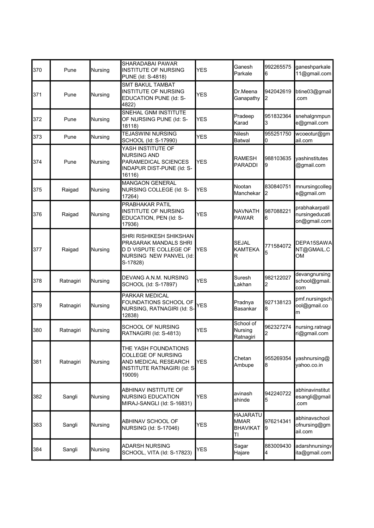| 370 | Pune      | Nursing | <b>SHARADABAI PAWAR</b><br><b>INSTITUTE OF NURSING</b><br>PUNE (Id: S-4818)                                        | <b>YES</b> | Ganesh<br>Parkale                                       | 992265575<br>6  | ganeshparkale<br>11@gmail.com                    |
|-----|-----------|---------|--------------------------------------------------------------------------------------------------------------------|------------|---------------------------------------------------------|-----------------|--------------------------------------------------|
| 371 | Pune      | Nursing | <b>SMT BAKUL TAMBAT</b><br>INSTITUTE OF NURSING<br>EDUCATION PUNE (Id: S-<br>4822)                                 | <b>YES</b> | Dr.Meena<br>Ganapathy                                   | 942042619<br>2  | btine03@gmail<br>com                             |
| 372 | Pune      | Nursing | SNEHAL GNM INSTITUTE<br>OF NURSING PUNE (Id: S-<br>18118)                                                          | <b>YES</b> | Pradeep<br>Karad                                        | 951832364<br>3  | snehalgnmpun<br>e@gmail.com                      |
| 373 | Pune      | Nursing | <b>TEJASWINI NURSING</b><br>SCHOOL (Id: S-17990)                                                                   | YES        | Nilesh<br><b>Batwal</b>                                 | 955251750<br>0  | wcoeotur@gm<br>ail.com                           |
| 374 | Pune      | Nursing | YASH INSTITUTE OF<br><b>NURSING AND</b><br>PARAMEDICAL SCIENCES<br>INDAPUR DIST-PUNE (Id: S-<br>16116)             | <b>YES</b> | RAMESH<br>PARADDI                                       | 988103635<br>9  | vashinstitutes<br>@gmail.com                     |
| 375 | Raigad    | Nursing | <b>MANGAON GENERAL</b><br>NURSING COLLEGE (Id: S-<br>17264)                                                        | <b>YES</b> | Nootan<br>Manchekar                                     | 830840751<br>2  | mnursingcolleg<br>e@gmail.om                     |
| 376 | Raigad    | Nursing | PRABHAKAR PATIL<br><b>INSTITUTE OF NURSING</b><br>EDUCATION, PEN (Id: S-<br>17936)                                 | <b>YES</b> | <b>NAVNATH</b><br>PAWAR                                 | 987088221<br>6  | prabhakarpatil<br>nursingeducati<br>on@gmail.com |
| 377 | Raigad    | Nursing | SHRI RISHIKESH SHIKSHAN<br>PRASARAK MANDALS SHRI<br>D D VISPUTE COLLEGE OF<br>NURSING NEW PANVEL (Id:<br>S-17828)  | <b>YES</b> | <b>SEJAL</b><br><b>KAMTEKA</b><br>R                     | 771584072<br>5  | DEPA15SAWA<br>NT@GMAIL.C<br><b>OM</b>            |
| 378 | Ratnagiri | Nursing | DEVANG A.N.M. NURSING<br>SCHOOL (Id: S-17897)                                                                      | YES        | Suresh<br>Lakhan                                        | 982122027<br>2  | devangnursing<br>school@gmail.<br>com            |
| 379 | Ratnagiri | Nursing | PARKAR MEDICAL<br>FOUNDATIONS SCHOOL OF<br>NURSING, RATNAGIRI (Id: S-<br>12838)                                    | <b>YES</b> | Pradnya<br>Basankar                                     | 927138123<br>8  | pmf.nursingsch<br>ool@gmail.co<br>m              |
| 380 | Ratnagiri | Nursing | SCHOOL OF NURSING<br>RATNAGIRI (Id: S-4813)                                                                        | <b>YES</b> | School of<br>Nursing<br>Ratnagiri                       | 962327274       | nursing.ratnagi<br>ri@gmail.com                  |
| 381 | Ratnagiri | Nursing | THE YASH FOUNDATIONS<br><b>COLLEGE OF NURSING</b><br>AND MEDICAL RESEARCH<br>INSTITUTE RATNAGIRI (Id: S-<br>19009) | <b>YES</b> | Chetan<br>Ambupe                                        | 955269354<br>8  | yashnursing@<br>vahoo.co.in                      |
| 382 | Sangli    | Nursing | ABHINAV INSTITUTE OF<br><b>NURSING EDUCATION</b><br>MIRAJ-SANGLI (Id: S-16831)                                     | <b>YES</b> | avinash<br>shinde                                       | 942240722<br>5  | abhinavinstitut<br>esangli@gmail<br>com          |
| 383 | Sangli    | Nursing | ABHINAV SCHOOL OF<br>NURSING (Id: S-17046)                                                                         | <b>YES</b> | <b>HAJARATU</b><br><b>MMAR</b><br><b>BHAVIKAT</b><br>TI | 976214341<br>Ι9 | abhinavschool<br>ofnursing@gm<br>ail.com         |
| 384 | Sangli    | Nursing | <b>ADARSH NURSING</b><br>SCHOOL, VITA (Id: S-17823)                                                                | <b>YES</b> | Sagar<br>Hajare                                         | 883009430<br>4  | adarshnursingv<br>ita@gmail.com                  |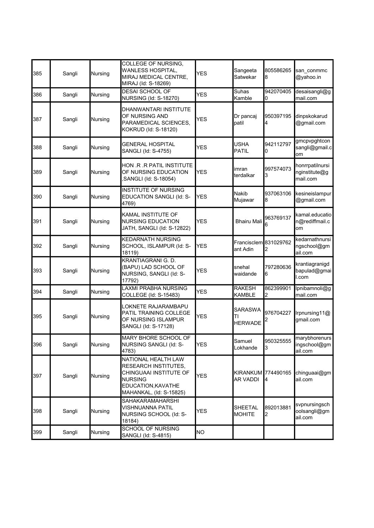| 385 | Sangli | Nursing | COLLEGE OF NURSING.<br>WANLESS HOSPITAL,<br>MIRAJ MEDICAL CENTRE,<br>MIRAJ (Id: S-18269)                                                 | <b>YES</b>      | Sangeeta<br>Satwekar                   | 805586265<br>8  | san conmmc<br>@yahoo.in                      |
|-----|--------|---------|------------------------------------------------------------------------------------------------------------------------------------------|-----------------|----------------------------------------|-----------------|----------------------------------------------|
| 386 | Sangli | Nursing | <b>DESAI SCHOOL OF</b><br><b>NURSING (Id: S-18270)</b>                                                                                   | <b>YES</b>      | Suhas<br>Kamble                        | 942070405<br>10 | desaisangli@g<br>mail.com                    |
| 387 | Sangli | Nursing | DHANWANTARI INSTITUTE<br>OF NURSING AND<br>PARAMEDICAL SCIENCES,<br>KOKRUD (Id: S-18120)                                                 | <b>YES</b>      | Dr pancaj<br>patil                     | 950397195<br>4  | dinpskokarud<br>@gmail.com                   |
| 388 | Sangli | Nursing | <b>GENERAL HOSPITAL</b><br>SANGLI (Id: S-4755)                                                                                           | <b>YES</b>      | <b>USHA</b><br><b>PATIL</b>            | 942112797<br>0  | gmcpvpghtcon<br>sangli@gmail.c<br>om         |
| 389 | Sangli | Nursing | HON .R .R PATIL INSTITUTE<br>OF NURSING EDUCATION<br>SANGLI (Id: S-18054)                                                                | <b>YES</b>      | imran<br>terdalkar                     | 997574073<br>3  | honrrpatilnursi<br>nginstitute@g<br>mail.com |
| 390 | Sangli | Nursing | <b>INSTITUTE OF NURSING</b><br>EDUCATION SANGLI (Id: S-<br>4769)                                                                         | <b>YES</b>      | <b>Nakib</b><br>Mujawar                | 937063106<br>8  | kesineislampur<br>@gmail.com                 |
| 391 | Sangli | Nursing | KAMAL INSTITUTE OF<br><b>NURSING EDUCATION</b><br>JATH, SANGLI (Id: S-12822)                                                             | <b>YES</b>      | <b>Bhairu Mali</b>                     | 963769137       | kamal.educatio<br>n@rediffmail.c<br>om       |
| 392 | Sangli | Nursing | <b>KEDARNATH NURSING</b><br>SCHOOL, ISLAMPUR (Id: S-<br>18119)                                                                           | <b>YES</b>      | Francisclem 831029762<br>ant Adin      | 2               | kedarnathnursi<br>ngschool@gm<br>ail.com     |
| 393 | Sangli | Nursing | <b>KRANTIAGRANI G. D.</b><br>(BAPU) LAD SCHOOL OF<br>NURSING, SANGLI (Id: S-<br>17792)                                                   | <b>YES</b>      | snehal<br>waidande                     | 797280636<br>6  | krantiagranigd<br>bapulad@gmai<br>I.com      |
| 394 | Sangli | Nursing | <b>LAXMI PRABHA NURSING</b><br>COLLEGE (Id: S-15483)                                                                                     | <b>YES</b>      | <b>RAKESH</b><br><b>KAMBLE</b>         | 862399901<br>2  | Ipnibamnoli@g<br>mail.com                    |
| 395 | Sangli | Nursing | LOKNETE RAJARAMBAPU<br>PATIL TRAINING COLLEGE<br>OF NURSING ISLAMPUR<br>SANGLI (Id: S-17128)                                             | <b>YES</b>      | <b>SARASWA</b><br>ΤI<br><b>HERWADE</b> | 976704227       | Irpnursing11@<br>gmail.com                   |
| 396 | Sangli | Nursing | MARY BHORE SCHOOL OF<br>NURSING SANGLI (Id: S-<br>4783)                                                                                  | YES             | Samuel<br>Lokhande                     | 950325555<br>3  | marybhorenurs<br>ingschool@gm<br>ail.com     |
| 397 | Sangli | Nursing | NATIONAL HEALTH LAW<br>RESEARCH INSTITUTES,<br>CHINGUAAI INSTITUTE OF<br><b>NURSING</b><br>EDUCATION, KAVATHE<br>MAHANKAL, (Id: S-15825) | <b>YES</b>      | KIRANKUM 774490165<br><b>AR VADDI</b>  | 14              | chinguaai@gm<br>ail.com                      |
| 398 | Sangli | Nursing | <b>SAHAKARAMAHARSHI</b><br><b>VISHNUANNA PATIL</b><br>NURSING SCHOOL (Id: S-<br>18184)                                                   | YES             | <b>SHEETAL</b><br><b>MOHITE</b>        | 892013881<br>2  | svpnursingsch<br>oolsangli@gm<br>ail.com     |
| 399 | Sangli | Nursing | <b>SCHOOL OF NURSING</b><br>SANGLI (Id: S-4815)                                                                                          | NO <sub>1</sub> |                                        |                 |                                              |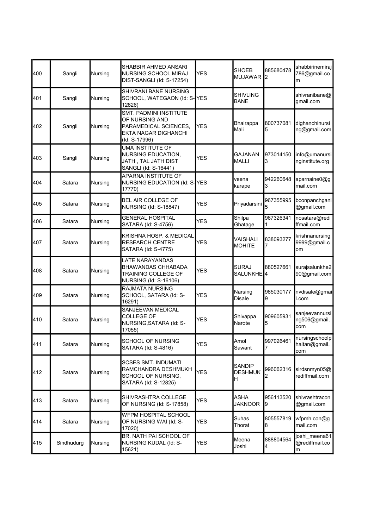| 400 | Sangli     | Nursing | SHABBIR AHMED ANSARI<br><b>NURSING SCHOOL MIRAJ</b><br>DIST-SANGLI (Id: S-17254)                           | <b>YES</b> | <b>SHOEB</b><br><b>MUJAWAR</b>       | 885680478<br>2 | shabbirinemiraj<br>786@gmail.co<br>m   |
|-----|------------|---------|------------------------------------------------------------------------------------------------------------|------------|--------------------------------------|----------------|----------------------------------------|
| 401 | Sangli     | Nursing | SHIVRANI BANE NURSING<br>SCHOOL, WATEGAON (Id: S-YES<br>12826)                                             |            | <b>SHIVLING</b><br><b>BANE</b>       |                | shivranibane@<br>gmail.com             |
| 402 | Sangli     | Nursing | SMT. PADMINI INSTITUTE<br>OF NURSING AND<br>PARAMEDICAL SCIENCES,<br>EKTA NAGAR DIGHANCHI<br>(Id: S-17996) | <b>YES</b> | Bhairappa<br>Mali                    | 800737081<br>5 | dighanchinursi<br>ng@gmail.com         |
| 403 | Sangli     | Nursing | <b>UMA INSTITUTE OF</b><br><b>NURSING EDUCATION,</b><br>JATH , TAL JATH DIST<br>SANGLI (Id: S-16441)       | <b>YES</b> | <b>GAJANAN</b><br><b>MALLI</b>       | 973014150<br>3 | info@umanursi<br>nginstitute.org       |
| 404 | Satara     | Nursing | APARNA INSTITUTE OF<br>NURSING EDUCATION (Id: S-YES<br>17770)                                              |            | veena<br>karape                      | 942260648<br>3 | aparnaine0@g<br>mail.com               |
| 405 | Satara     | Nursing | <b>BEL AIR COLLEGE OF</b><br><b>NURSING (Id: S-18847)</b>                                                  | <b>YES</b> | Priyadarsini                         | 967355995<br>5 | bconpanchgani<br>@gmail.com            |
| 406 | Satara     | Nursing | <b>GENERAL HOSPITAL</b><br>SATARA (Id: S-4756)                                                             | YES        | Shilpa<br>Ghatage                    | 967326341<br>1 | nosatara@redi<br>ffmail.com            |
| 407 | Satara     | Nursing | <b>KRISHNA HOSP. &amp; MEDICAL</b><br><b>RESEARCH CENTRE</b><br>SATARA (Id: S-4775)                        | <b>YES</b> | VAISHALI<br><b>MOHITE</b>            | 838093277      | krishnanursing<br>9999@gmail.c<br>om   |
| 408 | Satara     | Nursing | LATE NARAYANDAS<br><b>BHAWANDAS CHHABADA</b><br>TRAINING COLLEGE OF<br>NURSING (Id: S-16106)               | <b>YES</b> | <b>SURAJ</b><br><b>SALUNKHE</b>      | 880527661<br>4 | surajsalunkhe2<br>90@gmail.com         |
| 409 | Satara     | Nursing | <b>RAJMATA NURSING</b><br>SCHOOL, SATARA (Id: S-<br>16291)                                                 | <b>YES</b> | Narsing<br>Disale                    | 985030177<br>9 | nvdisale@gmai<br>l.com                 |
| 410 | Satara     | Nursing | <b>SANJEEVAN MEDICAL</b><br><b>COLLEGE OF</b><br>NURSING, SATARA (Id: S-<br>17055)                         | YES        | Shivappa<br>Narote                   | 909605931<br>5 | sanjeevannursi<br>ng506@gmail.<br>com  |
| 411 | Satara     | Nursing | SCHOOL OF NURSING<br>SATARA (Id: S-4816)                                                                   | <b>YES</b> | Amol<br>Sawant                       | 997026461<br>7 | nursingschoolp<br>haltan@gmail.<br>com |
| 412 | Satara     | Nursing | <b>SCSES SMT. INDUMATI</b><br>RAMCHANDRA DESHMUKH<br>SCHOOL OF NURSING,<br>SATARA (Id: S-12825)            | YES        | <b>SANDIP</b><br><b>DESHMUK</b><br>H | 996062316<br>2 | sirdsnmyn05@<br>rediffmail.com         |
| 413 | Satara     | Nursing | SHIVRASHTRA COLLEGE<br>OF NURSING (Id: S-17858)                                                            | YES        | ASHA<br><b>JAKNOOR</b>               | 956113520<br>9 | shivrashtracon<br>@gmail.com           |
| 414 | Satara     | Nursing | WFPM HOSPITAL SCHOOL<br>OF NURSING WAI (Id: S-<br>17020)                                                   | YES        | Suhas<br>Thorat                      | 805557819<br>8 | wfpmh.con@g<br>mail.com                |
| 415 | Sindhudurg | Nursing | BR. NATH PAI SCHOOL OF<br>NURSING KUDAL (Id: S-<br>15621)                                                  | YES        | Meena<br>Joshi                       | 888804564<br>4 | joshi_meena61<br>@rediffmail.co<br>m   |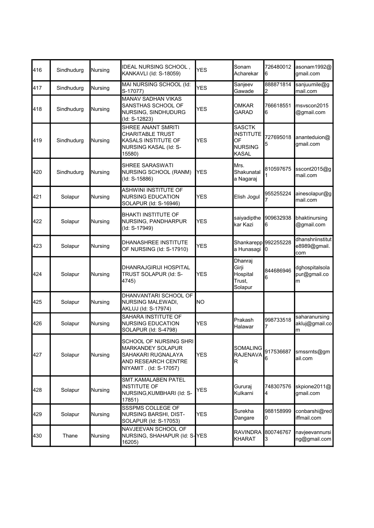| 416 | Sindhudurg | Nursing        | IDEAL NURSING SCHOOL,<br>KANKAVLI (Id: S-18059)                                                                            | <b>YES</b> | Sonam<br>Acharekar                                                        | 726480012<br>16                                   | asonam1992@<br>gmail.com                |
|-----|------------|----------------|----------------------------------------------------------------------------------------------------------------------------|------------|---------------------------------------------------------------------------|---------------------------------------------------|-----------------------------------------|
| 417 | Sindhudurg | Nursing        | MAI NURSING SCHOOL (Id:<br>S-17077)                                                                                        | <b>YES</b> | Sanjeev<br>Gawade                                                         | 888871814<br>2                                    | sanjuumile@g<br>mail.com                |
| 418 | Sindhudurg | Nursing        | MANAV SADHAN VIKAS<br>SANSTHAS SCHOOL OF<br>NURSING, SINDHUDURG<br>(Id: S-12823)                                           | <b>YES</b> | OMKAR<br><b>GARAD</b>                                                     | 766618551<br>6                                    | msvscon2015<br>@gmail.com               |
| 419 | Sindhudurg | <b>Nursing</b> | SHREE ANANT SMRITI<br><b>CHARITABLE TRUST</b><br>KASALS INSTITUTE OF<br>NURSING KASAL (Id: S-<br>15580)                    | <b>YES</b> | <b>SASCTK</b><br><b>INSTITUTE</b><br>OF<br><b>NURSING</b><br><b>KASAL</b> | 727695018<br>5                                    | ananteduion@<br>qmail.com               |
| 420 | Sindhudurg | Nursing        | SHREE SARASWATI<br>NURSING SCHOOL (RANM)<br>(Id: S-15886)                                                                  | <b>YES</b> | Mrs.<br>Shakunatal<br>a Nagaraj                                           | 810597675                                         | sscont2015@g<br>mail.com                |
| 421 | Solapur    | Nursing        | ASHWINI INSTITUTE OF<br><b>NURSING EDUCATION</b><br>SOLAPUR (Id: S-16946)                                                  | <b>YES</b> | Elish Jogul                                                               | 955255224                                         | ainesolapur@g<br>mail.com               |
| 422 | Solapur    | Nursing        | <b>BHAKTI INSTITUTE OF</b><br>NURSING, PANDHARPUR<br>(Id: S-17949)                                                         | <b>YES</b> | saiyadipthe<br>kar Kazi                                                   | 909632938<br>6                                    | bhaktinursing<br>@gmail.com             |
| 423 | Solapur    | Nursing        | DHANASHREE INSTITUTE<br>OF NURSING (Id: S-17910)                                                                           | <b>YES</b> | a Hunasagi                                                                | Shankarepp 992255228<br>$\mathbf{I}^{\mathbf{0}}$ | dhanshriinstitut<br>e8989@gmail.<br>com |
| 424 | Solapur    | Nursing        | DHANRAJGIRIJI HOSPITAL<br>TRUST SOLAPUR (Id: S-<br>4745)                                                                   | YES        | Dhanraj<br>Girji<br>Hospital<br>Trust,<br>Solapur                         | 844686946<br>6                                    | dghospitalsola<br>pur@gmail.co<br>m     |
| 425 | Solapur    | Nursing        | DHANVANTARI SCHOOL OF<br><b>NURSING MALEWADI,</b><br>AKLUJ (Id: S-17974)                                                   | lΝO        |                                                                           |                                                   |                                         |
| 426 | Solapur    | Nursing        | SAHARA INSTITUTE OF<br><b>NURSING EDUCATION</b><br>SOLAPUR (Id: S-4798)                                                    | <b>YES</b> | Prakash<br>Halawar                                                        | 998733518                                         | saharanursing<br>akluj@gmail.co<br>m    |
| 427 | Solapur    | Nursing        | SCHOOL OF NURSING SHRI<br><b>MARKANDEY SOLAPUR</b><br>SAHAKARI RUGNALAYA<br>AND RESEARCH CENTRE<br>NIYAMIT . (Id: S-17057) | YES        | SOMALING<br><b>RAJENAVA</b><br>$\mathsf R$                                | 917536687<br>6                                    | smssrnts@gm<br>ail.com                  |
| 428 | Solapur    | Nursing        | SMT.KAMALABEN PATEL<br><b>INSTITUTE OF</b><br>NURSING, KUMBHARI (Id: S-<br>17851)                                          | <b>YES</b> | Gururaj<br>Kulkarni                                                       | 748307576<br>4                                    | skpione2011@<br>gmail.com               |
| 429 | Solapur    | Nursing        | SSSPMS COLLEGE OF<br>NURSING BARSHI, DIST-<br>SOLAPUR (Id: S-17053)                                                        | <b>YES</b> | Surekha<br>Dangare                                                        | 988158999<br>10                                   | conbarshi@red<br>iffmail.com            |
| 430 | Thane      | Nursing        | NAVJEEVAN SCHOOL OF<br>NURSING, SHAHAPUR (Id: S-YES<br>16205)                                                              |            | <b>RAVINDRA</b><br><b>KHARAT</b>                                          | 800746767<br>3                                    | navjeevannursi<br>ng@gmail.com          |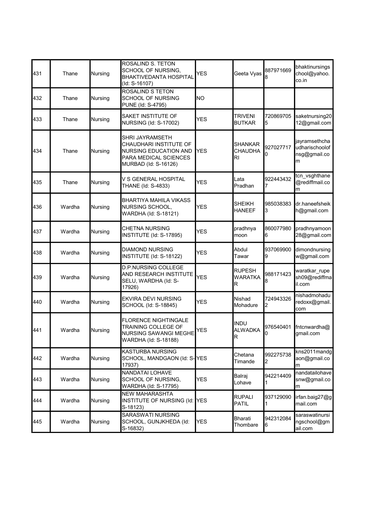| 431 | Thane  | Nursing        | ROSALIND S. TETON<br>SCHOOL OF NURSING,<br><b>BHAKTIVEDANTA HOSPITAL</b><br>(Id: S-16107)                                  | <b>YES</b> | Geeta Vyas                                     | 887971669      | bhaktinursings<br>chool@yahoo.<br>co.in              |
|-----|--------|----------------|----------------------------------------------------------------------------------------------------------------------------|------------|------------------------------------------------|----------------|------------------------------------------------------|
| 432 | Thane  | Nursing        | ROSALIND S TETON<br><b>SCHOOL OF NURSING</b><br>PUNE (Id: S-4795)                                                          | lΝO        |                                                |                |                                                      |
| 433 | Thane  | Nursing        | SAKET INSTITUTE OF<br>NURSING (Id: S-17002)                                                                                | <b>YES</b> | <b>TRIVENI</b><br><b>BUTKAR</b>                | 720869705<br>5 | saketnursing20<br>12@gmail.com                       |
| 434 | Thane  | Nursing        | SHRI JAYRAMSETH<br>CHAUDHARI INSTITUTE OF<br><b>NURSING EDUCATION AND</b><br>PARA MEDICAL SCIENCES<br>MURBAD (Id: S-16126) | <b>YES</b> | <b>SHANKAR</b><br><b>CHAUDHA</b><br>RI         | 927027717<br>0 | jayramsethcha<br>udharischoolof<br>nsg@gmail.co<br>m |
| 435 | Thane  | Nursing        | V S GENERAL HOSPITAL<br>THANE (Id: S-4833)                                                                                 | <b>YES</b> | Lata<br>Pradhan                                | 922443432      | tcn_vsghthane<br>@rediffmail.co<br>m                 |
| 436 | Wardha | Nursing        | BHARTIYA MAHILA VIKASS<br><b>NURSING SCHOOL,</b><br>WARDHA (Id: S-18121)                                                   | <b>YES</b> | <b>SHEIKH</b><br><b>HANEEF</b>                 | 985038383<br>3 | dr.haneefsheik<br>h@gmail.com                        |
| 437 | Wardha | Nursing        | CHETNA NURSING<br>INSTITUTE (Id: S-17895)                                                                                  | <b>YES</b> | pradhnya<br>moon                               | 860077980<br>6 | pradhnyamoon<br>28@gmail.com                         |
| 438 | Wardha | Nursing        | <b>DIAMOND NURSING</b><br>INSTITUTE (Id: S-18122)                                                                          | <b>YES</b> | Abdul<br>Tawar                                 | 937069900<br>9 | dimondnursing<br>w@gmail.com                         |
| 439 | Wardha | Nursing        | <b>D.P.NURSING COLLEGE</b><br>AND RESEARCH INSTITUTE<br>SELU, WARDHA (Id: S-<br>17926)                                     | <b>YES</b> | <b>RUPESH</b><br><b>WARATKA</b><br>$\mathsf R$ | 988171423<br>8 | waratkar_rupe<br>sh09@rediffma<br>il.com             |
| 440 | Wardha | Nursing        | <b>EKVIRA DEVI NURSING</b><br>SCHOOL (Id: S-18845)                                                                         | <b>YES</b> | Nishad<br>Mohadure                             | 724943326<br>2 | nishadmohadu<br>redoxx@gmail.<br>com                 |
| 441 | Wardha | Nursing        | <b>FLORENCE NIGHTINGALE</b><br>TRAINING COLLEGE OF<br><b>NURSING SAWANGI MEGHE</b><br>WARDHA (Id: S-18188)                 | <b>YES</b> | <b>INDU</b><br><b>ALWADKA</b><br>R             | 976540401      | fntcnwardha@<br>gmail.com                            |
| 442 | Wardha | Nursing        | KASTURBA NURSING<br>SCHOOL, MANDGAON (Id: S-YES<br>17937)                                                                  |            | Chetana<br>Timande                             | 992275738<br>2 | kns2011mandg<br>aon@gmail.co<br>m                    |
| 443 | Wardha | <b>Nursing</b> | NANDATAI LOHAVE<br>SCHOOL OF NURSING,<br>WARDHA (Id: S-17795)                                                              | <b>YES</b> | Balraj<br>Lohave                               | 942214409      | nandatailohave<br>snw@gmail.co<br>m                  |
| 444 | Wardha | Nursing        | <b>NEW MAHARASHTA</b><br>INSTITUTE OF NURSING (Id:<br>S-18123)                                                             | <b>YES</b> | <b>RUPALI</b><br><b>PATIL</b>                  | 937129090      | irfan.baig27@g<br>mail.com                           |
| 445 | Wardha | Nursing        | SARASWATI NURSING<br>SCHOOL, GUNJKHEDA (Id:<br>S-16832)                                                                    | <b>YES</b> | Bharati<br>Thombare                            | 942312084<br>6 | saraswatinursi<br>ngschool@gm<br>ail.com             |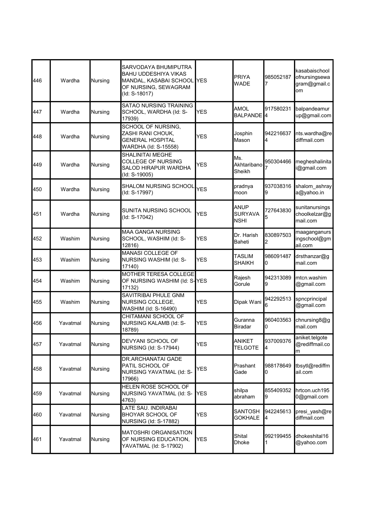| Wardha   | Nursing        | SARVODAYA BHUMIPUTRA<br><b>BAHU UDDESHIYA VIKAS</b><br>MANDAL, KASABAI SCHOOL<br>OF NURSING, SEWAGRAM<br>(Id: S-18017) | IYES       | <b>PRIYA</b><br>WADE                                  | 985052187      | kasabaischool<br>ofnursingsewa<br>gram@gmail.c<br>om |
|----------|----------------|------------------------------------------------------------------------------------------------------------------------|------------|-------------------------------------------------------|----------------|------------------------------------------------------|
| Wardha   | Nursing        | <b>SATAO NURSING TRAINING</b><br>SCHOOL, WARDHA (Id: S-<br>17939)                                                      | <b>YES</b> | AMOL                                                  | 917580231      | balpandeamur<br>up@gmail.com                         |
| Wardha   | Nursing        | SCHOOL OF NURSING,<br>ZASHI RANI CHOUK,<br>GENERAL HOSPITAL<br>WARDHA (Id: S-15558)                                    | <b>YES</b> | Josphin<br>Mason                                      | 942216637<br>4 | nts.wardha@re<br>diffmail.com                        |
| Wardha   | Nursing        | <b>SHALINITAI MEGHE</b><br><b>COLLEGE OF NURSING</b><br>SALOD HIRAPUR WARDHA<br>(Id: S-19005)                          | <b>YES</b> | Ms.<br>Sheikh                                         | 950304466      | megheshalinita<br>@gmail.com                         |
| Wardha   | Nursing        | SHALOM NURSING SCHOOL<br>(Id: S-17997)                                                                                 | <b>YES</b> | pradnya<br>moon                                       | 937038316<br>9 | shalom_ashray<br>a@yahoo.in                          |
| Wardha   | Nursing        | SUNITA NURSING SCHOOL<br>(Id: S-17042)                                                                                 | <b>YES</b> | <b>ANUP</b><br><b>SURYAVA</b><br><b>NSHI</b>          | 727643830      | sunitanursings<br>choolkelzar@g<br>mail.com          |
| Washim   | Nursing        | <b>MAA GANGA NURSING</b><br>SCHOOL, WASHIM (Id: S-<br>12816)                                                           | <b>YES</b> | Dr. Harish<br><b>Baheti</b>                           | 830897503<br>2 | maaganganurs<br>ingschool@gm<br>ail.com              |
| Washim   | Nursing        | MANASI COLLEGE OF<br>NURSING WASHIM (Id: S-<br>17140)                                                                  | <b>YES</b> | <b>TASLIM</b><br>SHAIKH                               | 986091487<br>0 | drsthanzar@g<br>mail.com                             |
| Washim   | Nursing        | 17132)                                                                                                                 |            | Rajesh<br>Gorule                                      | 942313089<br>9 | mtcn.washim<br>@gmail.com                            |
| Washim   | Nursing        | SAVITRIBAI PHULE GNM<br>NURSING COLLEGE,<br>WASHIM (Id: S-16490)                                                       | <b>YES</b> | Dipak Wani                                            | 942292513<br>6 | spncprincipal<br>@gmail.com                          |
| Yavatmal | Nursing        | CHITAMANI SCHOOL OF<br>NURSING KALAMB (Id: S-<br>18789)                                                                | <b>YES</b> | Guranna<br><b>Biradar</b>                             | 960403563<br>0 | chnursing8@g<br>mail.com                             |
| Yavatmal | <b>Nursing</b> | DEVYANI SCHOOL OF<br><b>NURSING (Id: S-17944)</b>                                                                      | <b>YES</b> | ANIKET<br><b>TELGOTE</b>                              | 937009376<br>4 | aniket.telgote<br>@rediffmail.co<br>m                |
| Yavatmal | Nursing        | DR.ARCHANATAI GADE<br>PATIL SCHOOL OF<br>NURSING YAVATMAL (Id: S-<br>17966)                                            | YES        | Prashant<br>Gade                                      | 988178649<br>0 | tbsytl@rediffm<br>ail.com                            |
| Yavatmal | Nursing        | HELEN ROSE SCHOOL OF<br>NURSING YAVATMAL (Id: S-<br>4763)                                                              | <b>YES</b> | shilpa<br>abraham                                     | 855409352<br>9 | hrtcon.uch195<br>0@gmail.com                         |
| Yavatmal | Nursing        | LATE SAU. INDIRABAI<br><b>BHOYAR SCHOOL OF</b><br>NURSING (Id: S-17882)                                                | YES        | SANTOSH<br><b>GOKHALE</b>                             | 942245613<br>4 | presi yash@re<br>diffmail.com                        |
| Yavatmal | Nursing        | <b>MATOSHRI ORGANISATION</b><br>OF NURSING EDUCATION,<br>YAVATMAL (Id: S-17902)                                        | <b>YES</b> | Shital<br>Dhoke                                       | 992199455<br>1 | dhokeshital16<br>@yahoo.com                          |
|          |                |                                                                                                                        |            | MOTHER TERESA COLLEGE<br>OF NURSING WASHIM (Id: S-YES |                | BALPANDE <sup>1</sup> 4<br>Akhtaribano               |